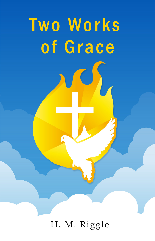# Two Works of Grace

H. M. Riggle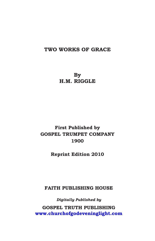### **TWO WORKS OF GRACE**

**By H.M. RIGGLE**

# **First Published by GOSPEL TRUMPET COMPANY 1900**

**Reprint Edition 2010**

**FAITH PUBLISHING HOUSE**

*Digitally Published by* **\*263(/7587+ PUBLISHING**  $www.churchofgodeveninglight.com$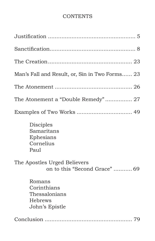# **CONTENTS**

| Man's Fall and Result, or, Sin in Two Forms 23                      |
|---------------------------------------------------------------------|
|                                                                     |
| The Atonement a "Double Remedy" 27                                  |
|                                                                     |
| Disciples<br>Samaritans<br>Ephesians<br>Cornelius<br>Paul           |
| The Apostles Urged Believers<br>on to this "Second Grace"  69       |
| Romans<br>Corinthians<br>Thessalonians<br>Hebrews<br>John's Epistle |
|                                                                     |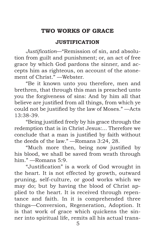# <span id="page-6-0"></span>**TWO WORKS OF GRACE**

# **JUSTIFICATION**

*Justification*—"Remission of sin, and absolution from guilt and punishment; or, an act of free grace by which God pardons the sinner, and accepts him as righteous, on account of the atonement of Christ." —Webster.

"Be it known unto you therefore, men and brethren, that through this man is preached unto you the forgiveness of sins: And by him all that believe are justified from all things, from which ye could not be justified by the law of Moses." —Acts 13:38-39.

"Being justified freely by his grace through the redemption that is in Christ Jesus:... Therefore we conclude that a man is justified by faith without the deeds of the law." —Romans 3:24, 28.

"Much more then, being now justified by his blood, we shall be saved from wrath through him." —Romans 5:9.

"Justification" is a work of God wrought in the heart. It is not effected by growth, outward pruning, self-culture, or good works which we may do; but by having the blood of Christ applied to the heart. It is received through repentance and faith. In it is comprehended three things—Conversion, Regeneration, Adoption. It is that work of grace which quickens the sinner into spiritual life, remits all his actual trans-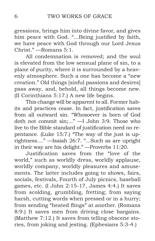gressions, brings him into divine favor, and gives him peace with God. "...Being justified by faith, we have peace with God through our Lord Jesus Christ." —Romans 5:1.

All condemnation is removed; and the soul is elevated from the low sensual plane of sin, to a plane of purity, where it is surrounded by a heavenly atmosphere. Such a one has become a "new creation." Old things [sinful passions and desires] pass away, and, behold, all things become new. (II Corinthians 5:17.) A new life begins.

This change will be apparent to all. Former habits and practices cease. In fact, justification saves from all outward sin. "Whosoever is born of God doth not commit sin;..." —I John 3:9. Those who live to the Bible standard of justification need no repentance. (Luke 15:7.) "The way of the just is uprightness...." —Isaiah 26:7. "...Such as are upright in their way are his delight." —Proverbs 11:20.

Justification saves from the "love of the world," such as worldly dress, worldly applause, worldly company, worldly pleasures and amusements. The latter includes going to shows, fairs, socials, festivals, Fourth of July picnics, baseball games, etc. (I John 2:15-17, James 4:4.) It saves from scolding, grumbling, fretting; from saying harsh, cutting words when pressed or in a hurry; from sending "heated flings" at another. (Romans 8:9.) It saves men from driving close bargains. (Matthew 7:12.) It saves from telling obscene stories, from joking and jesting. (Ephesians 5:3-4.)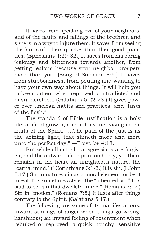It saves from speaking evil of your neighbors, and of the faults and failings of the brethren and sisters in a way to injure them. It saves from seeing the faults of others quicker than their good qualities. (Ephesians 4:29-32.) It saves from harboring jealousy and bitterness towards another, from getting jealous because your neighbor prospers more than you. (Song of Solomon 8:6.) It saves from stubbornness, from pouting and wanting to have your own way about things. It will help you to keep patient when reproved, contradicted and misunderstood. (Galatians 5:22-23.) It gives power over unclean habits and practices, and "lusts of the flesh."

The standard of Bible justification is a holy life: a life of growth, and a daily increasing in the fruits of the Spirit. "…The path of the just is as the shining light, that shineth more and more unto the perfect day." —Proverbs 4:18.

But while all actual transgressions are forgiven, and the outward life is pure and holy; yet there remains in the heart an unrighteous nature, the "carnal mind." (I Corinthians 3:1-3.) It is sin. (I John 5:17.) Sin in nature; sin as a moral element, or bent to evil. It is sometimes styled the "inherited sin." It is said to be "sin that dwelleth in me." (Romans 7:17.) Sin in "motion." (Romans 7:5.) It lusts after things contrary to the Spirit. (Galatians 5:17.)

The following are some of its manifestations: inward stirrings of anger when things go wrong; harshness; an inward feeling of resentment when rebuked or reproved; a quick, touchy, sensitive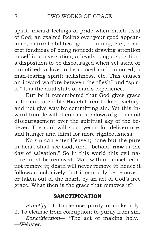<span id="page-9-0"></span>spirit, inward feelings of pride when much used of God; an exalted feeling over your good appearance, natural abilities, good training, etc.; a secret fondness of being noticed; drawing attention to self in conversation; a headstrong disposition; a disposition to be discouraged when set aside or unnoticed; a love to be coaxed and humored; a man-fearing spirit; selfishness, etc. This causes an inward warfare between the "flesh" and "spirit." It is the dual state of man's experience.

But be it remembered that God gives grace sufficient to enable His children to keep victory, and not give way by committing sin. Yet this inward trouble will often cast shadows of gloom and discouragement over the spiritual sky of the believer. The soul will soon yearn for deliverance, and hunger and thirst for more righteousness.

No sin can enter Heaven; none but the pure in heart shall see God; and, "behold, **now** is the day of salvation." So in this world this evil nature must be removed. Man within himself cannot remove it; death will never remove it: hence it follows conclusively that it can only be removed, or taken out of the heart, by an act of God's free grace. What then is the grace that removes it?

## **SANCTIFICATION**

*Sanctify*—1. To cleanse, purify, or make holy. 2. To cleanse from corruption; to purify from sin. *Sanctification*— "The act of making holy." —Webster.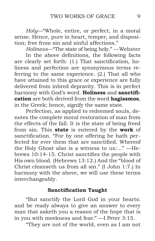*Holy*—"Whole, entire, or perfect, in a moral sense. Hence, pure in heart, temper, and disposition; free from sin and sinful affections."

*Holiness*—"The state of being holy." —Webster

In the above definitions, the following facts are clearly set forth: (1.) That sanctification, holiness and perfection are synonymous terms referring to the same experience. (2.) That all who have attained to this grace or experience are fully delivered from inbred depravity. This is in perfect harmony with God's word. **Holiness** and **sanctification** are both derived from the word **hagiasmos**, in the Greek; hence, signify the same state.

Perfection, as applied to redeemed souls, denotes the complete moral restoration of man from the effects of the fall. It is the state of being freed from sin. This **state** is entered by the **work** of sanctification. "For by one offering he hath perfected for ever them that are sanctified. Whereof the Holy Ghost also is a witness to us:..." —Hebrews 10:14-15. Christ sanctifies the people with His own blood. (Hebrews 13:12.) And the "blood of Christ cleanseth us from all sin." (I John 1:7.) In harmony with the above, we will use these terms interchangeably.

### **Sanctification Taught**

"But sanctify the Lord God in your hearts: and be ready always to give an answer to every man that asketh you a reason of the hope that is in you with meekness and fear." —I Peter 3:15.

"They are not of the world, even as I am not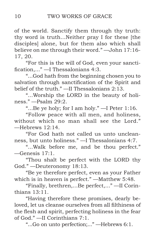of the world. Sanctify them through thy truth: thy word is truth...Neither pray I for these [the disciples] alone, but for them also which shall believe on me through their word." —John 17:16- 17, 20.

"For this is the will of God, even your sanctification,..." —I Thessalonians 4:3.

"...God hath from the beginning chosen you to salvation through sanctification of the Spirit and belief of the truth." —II Thessalonians 2:13.

"...Worship the LORD in the beauty of holiness." —Psalm 29:2.

"...Be ye holy; for I am holy." —I Peter 1:16.

"Follow peace with all men, and holiness, without which no man shall see the Lord." —Hebrews 12:14.

"For God hath not called us unto uncleanness, but unto holiness." —I Thessalonians 4:7.

"...Walk before me, and be thou perfect." —Genesis 17:1.

"Thou shalt be perfect with the LORD thy God." —Deuteronomy 18:13.

"Be ye therefore perfect, even as your Father which is in heaven is perfect." —Matthew 5:48.

"Finally, brethren,...Be perfect,..." —II Corinthians 13:11.

"Having therefore these promises, dearly beloved, let us cleanse ourselves from all filthiness of the flesh and spirit, perfecting holiness in the fear of God." —II Corinthians 7:1.

"...Go on unto perfection;..." —Hebrews 6:1.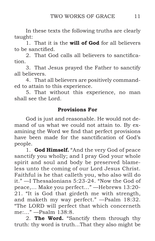In these texts the following truths are clearly taught:

1. That it is the **will of God** for all believers to be sanctified.

2. That God calls all believers to sanctification.

3. That Jesus prayed the Father to sanctify all believers.

4. That all believers are positively commanded to attain to this experience.

5. That without this experience, no man shall see the Lord.

# **Provisions For**

God is just and reasonable. He would not demand of us what we could not attain to. By examining the Word we find that perfect provisions have been made for the sanctification of God's people.

1. **God Himself.** "And the very God of peace sanctify you wholly; and I pray God your whole spirit and soul and body be preserved blameless unto the coming of our Lord Jesus Christ. Faithful is he that calleth you, who also will do it." —I Thessalonians 5:23-24. "Now the God of peace,... Make you perfect..." —Hebrews 13:20- 21. "It is God that girdeth me with strength, and maketh my way perfect." —Psalm 18:32. "The LORD will perfect that which concerneth me:..." —Psalm 138:8.

2. **The Word.** "Sanctify them through thy truth: thy word is truth...That they also might be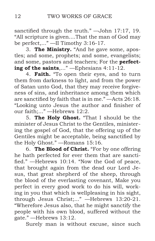sanctified through the truth." —John 17:17, 19. "All scripture is given....That the man of God may be perfect,..." —II Timothy 3:16-17.

3. **The Ministry.** "And he gave some, apostles; and some, prophets; and some, evangelists; and some, pastors and teachers; For the **perfecting of the saints**,..." —Ephesians 4:11-12.

4. **Faith.** "To open their eyes, and to turn them from darkness to light, and from the power of Satan unto God, that they may receive forgiveness of sins, and inheritance among them which are sanctified by faith that is in me." —Acts 26:18. "Looking unto Jesus the author and finisher of our faith;..." —Hebrews 12:2.

5. **The Holy Ghost.** "That I should be the minister of Jesus Christ to the Gentiles, ministering the gospel of God, that the offering up of the Gentiles might be acceptable, being sanctified by the Holy Ghost." —Romans 15:16.

6. **The Blood of Christ.** "For by one offering he hath perfected for ever them that are sanctified." —Hebrews 10:14. "Now the God of peace, that brought again from the dead our Lord Jesus, that great shepherd of the sheep, through the blood of the everlasting covenant, Make you perfect in every good work to do his will, working in you that which is wellpleasing in his sight, through Jesus Christ;..." —Hebrews 13:20-21. "Wherefore Jesus also, that he might sanctify the people with his own blood, suffered without the gate." —Hebrews 13:12.

Surely man is without excuse, since such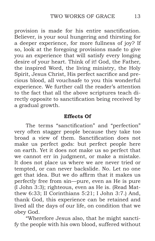provision is made for his entire sanctification. Believer, is your soul hungering and thirsting for a deeper experience, for more fullness of joy? If so, look at the foregoing provisions made to give you an experience that will satisfy every longing desire of your heart. Think of it! God, the Father, the inspired Word, the living ministry, the Holy Spirit, Jesus Christ, His perfect sacrifice and precious blood, all vouchsafe to you this wonderful experience. We further call the reader's attention to the fact that all the above scriptures teach directly opposite to sanctification being received by a gradual growth.

### **Effects Of**

The terms "sanctification" and "perfection" very often stagger people because they take too broad a view of them. Sanctification does not make us perfect gods: but perfect people here on earth. Yet it does not make us so perfect that we cannot err in judgment, or make a mistake. It does not place us where we are never tried or tempted, or can never backslide. No. Let no one get that idea. But we do affirm that it makes us perfectly free from sin—pure, even as He is pure (I John 3:3); righteous, even as He is. (Read Matthew 6:33; II Corinthians 5:21; I John 3:7.) And, thank God, this experience can be retained and lived all the days of our life, on condition that we obey God.

"Wherefore Jesus also, that he might sanctify the people with his own blood, suffered without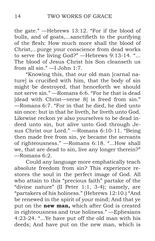the gate." —Hebrews 13:12. "For if the blood of bulls, and of goats,...sanctifieth to the purifying of the flesh: How much more shall the blood of Christ,...purge your conscience from dead works to serve the living God?" —Hebrews 9:13-14. "... The blood of Jesus Christ his Son cleanseth us from all sin." —I John 1:7.

"Knowing this, that our old man [carnal nature] is crucified with him, that the body of sin might be destroyed, that henceforth we should not serve sin." —Romans 6:6. "For he that is dead [dead with Christ—verse 8] is freed from sin." —Romans 6:7. "For in that he died, he died unto sin once: but in that he liveth, he liveth unto God. Likewise reckon ye also yourselves to be dead indeed unto sin, but alive unto God through Jesus Christ our Lord." —Romans 6:10-11. "Being then made free from sin, ye became the servants of righteousness." —Romans 6:18. "...How shall we, that are dead to sin, live any longer therein?" —Romans 6:2.

Could any language more emphatically teach absolute freedom from sin? This experience restores the soul in the perfect image of God. All who attain to this "precious faith" partake of the "divine nature" (II Peter 1:1, 3-4); namely, are "partakers of his holiness." (Hebrews 12:10.) "And be renewed in the spirit of your mind; And that ye put on the **new man,** which after God is created in righteousness and true holiness." —Ephesians 4:23-24. "...Ye have put off the old man with his deeds; And have put on the new man, which is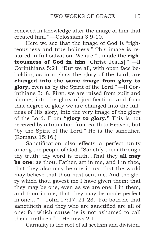renewed in knowledge after the image of him that created him." —Colossians 3:9-10.

Here we see that the image of God is "righteousness and true holiness." This image is restored in full salvation. We are "...made the **righteousness of God in him** [Christ Jesus]." —II Corinthians 5:21. "But we all, with open face beholding as in a glass the glory of the Lord, are **changed into the same image from glory to glory,** even as by the Spirit of the Lord." —II Corinthians 3:18. First, we are raised from guilt and shame, into the glory of justification; and from that degree of glory we are changed into the fullness of His glory, into the very image of the glory of the Lord. From **"glory to glory."** This is not received by a transition from earth to Heaven, but "by the Spirit of the Lord." He is the sanctifier. (Romans 15:16.)

Sanctification also effects a perfect unity among the people of God. "Sanctify them through thy truth: thy word is truth…That they **all may be one**; as thou, Father, art in me, and I in thee, that they also may be one in us: that the world may believe that thou hast sent me. And the glory which thou gavest me I have given them; that they may be one, even as we are one: I in them, and thou in me, that they may be made perfect in one;..." —John 17:17, 21-23. "For both he that sanctifieth and they who are sanctified are all of one: for which cause he is not ashamed to call them brethren." —Hebrews 2:11.

Carnality is the root of all sectism and division.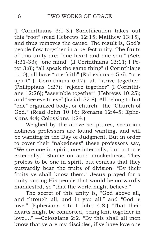(I Corinthians 3:1-3.) Sanctification takes out this "root" (read Hebrews 12:15; Matthew 13:15), and thus removes the cause. The result is, God's people flow together in a perfect unity. The fruits of this unity are: "one heart and one soul" (Acts 4:31-33); "one mind" (II Corinthians 13:11; I Peter 3:8); "all speak the same thing" (I Corinthians 1:10); all have "one faith" (Ephesians 4:5-6); "one spirit" (I Corinthians 6:17); all "strive together" (Philippians 1:27); "rejoice together" (I Corinthians 12:26); "assemble together" (Hebrews 10:25); and "see eye to eye" (Isaiah 52:8). All belong to but "one" organized body, or church—the "Church of God." (Read John 10:16; Romans 12:4-5; Ephesians 4:4; Colossians 1:24.)

Weighed by the above scriptures, sectarian holiness professors are found wanting, and will be wanting in the Day of Judgment. But in order to cover their "nakedness" these professors say, "We are one in spirit; one internally, but not one externally." Shame on such crookedness. They profess to be one in spirit, but confess that they outwardly bear the fruits of division. "By their fruits ye shall know them." Jesus prayed for a unity among His people that would be outwardly manifested, so "that the world might believe."

The secret of this unity is, "God above all, and through all, and in you all;" and "God is love." (Ephesians 4:6; I John 4:8.) "That their hearts might be comforted, being knit together in love,..." —Colossians 2:2. "By this shall all men know that ye are my disciples, if ye have love one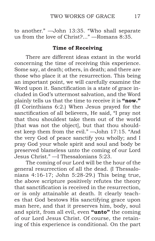to another." —John 13:35. "Who shall separate us from the love of Christ?..." —Romans 8:35.

### **Time of Receiving**

There are different ideas extant in the world concerning the time of receiving this experience. Some say, at death; others, in death; and there are those who place it at the resurrection. This being an important point, we will carefully examine the Word upon it. Sanctification is a state of grace included in God's uttermost salvation, and the Word plainly tells us that the time to receive it is **"now."**  (II Corinthians 6:2.) When Jesus prayed for the sanctification of all believers, He said, "I pray not that thou shouldest take them out of the world [that was not the object], but that thou shouldest keep them from the evil." —John 17:15. "And the very God of peace sanctify you wholly; and I pray God your whole spirit and soul and body be preserved blameless unto the coming of our Lord Jesus Christ." —I Thessalonians 5:23.

The coming of our Lord will be the hour of the general resurrection of all the dead. (I Thessalonians 4:16-17; John 5:28-29.) This being true, the above scripture positively refutes the theory that sanctification is received in the resurrection, or is only attainable at death. It clearly teaches that God bestows His sanctifying grace upon man here, and that it preserves him, body, soul and spirit, from all evil, even **"unto"** the coming of our Lord Jesus Christ. Of course, the retaining of this experience is conditional. On the part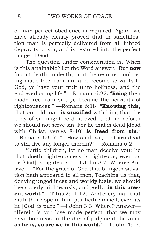of man perfect obedience is required. Again, we have already clearly proved that in sanctification man is perfectly delivered from all inbred depravity or sin, and is restored into the perfect image of God.

The question under consideration is, When is this attainable? Let the Word answer. "But **now** [not at death, in death, or at the resurrection] being made free from sin, and become servants to God, ye have your fruit unto holiness, and the end everlasting life." —Romans 6:22. "**Being** then made free from sin, ye became the servants of righteousness." —Romans 6:18. "**Knowing this,** that our old man **is crucified** with him, that the body of sin might be destroyed, that henceforth we should not serve sin. For he that is dead [dead with Christ, verses 8-10] **is freed from sin**." —Romans 6:6-7. "...How shall we, that **are** dead to sin, live any longer therein?" —Romans 6:2.

"Little children, let no man deceive you: he that doeth righteousness is righteous, even as he [God] is righteous." —I John 3:7. Where? Answer— "For the grace of God that bringeth salvation hath appeared to all men, Teaching us that, denying ungodliness and worldy lusts, we should live soberly, righteously, and godly, **in this present world.**" —Titus 2:11-12. "And every man that hath this hope in him purifieth himself, even as he [God] is pure." —I John 3:3. Where? Answer— "Herein is our love made perfect, that we may have boldness in the day of judgment: because **as he is, so are we in this world.**" —I John 4:17.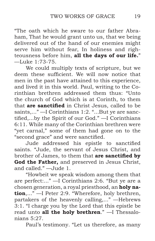"The oath which he sware to our father Abraham, That he would grant unto us, that we being delivered out of the hand of our enemies might serve him without fear, In holiness and righteousness before him, **all the days of our life.**" —Luke 1:73-75.

We could multiply texts of scripture, but we deem these sufficient. We will now notice that men in the past have attained to this experience, and lived it in this world. Paul, writing to the Corinthian brethren addressed them thus: "Unto the church of God which is at Corinth, to them that **are sanctified** in Christ Jesus, called to be saints,..." —I Corinthians 1:2. "...But ye are sanctified,...by the Spirit of our God." —I Corinthians 6:11. While many of the Corinthian brethren were "yet carnal," some of them had gone on to the "second grace" and were sanctified.

Jude addressed his epistle to sanctified saints. "Jude, the servant of Jesus Christ, and brother of James, to them that **are sanctified by God the Father,** and preserved in Jesus Christ, and called." —Jude 1.

"Howbeit we speak wisdom among them that are perfect:..." —I Corinthians 2:6. "But ye are a chosen generation, a royal priesthood, an **holy nation**,..." —I Peter 2:9. "Wherefore, holy brethren, partakers of the heavenly calling,..." —Hebrews 3:1. "I charge you by the Lord that this epistle be read unto **all the holy brethren**." —I Thessalonians 5:27.

Paul's testimony. "Let us therefore, as many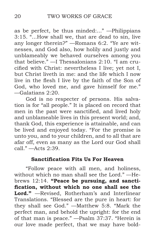as be perfect, be thus minded:..." —Philippians 3:15. "...How shall we, that are dead to sin, live any longer therein?" —Romans 6:2. "Ye are witnesses, and God also, how holily and justly and unblameably we behaved ourselves among you that believe." —I Thessalonians 2:10. "I am crucified with Christ: nevertheless I live; yet not I, but Christ liveth in me: and the life which I now live in the flesh I live by the faith of the Son of God, who loved me, and gave himself for me." —Galatians 2:20.

God is no respecter of persons. His salvation is for "all people." It is placed on record that men in the past were sanctified, and lived holy and unblameable lives in this present world; and, thank God, this experience is attainable, and can be lived and enjoyed today. "For the promise is unto you, and to your children, and to all that are afar off, even as many as the Lord our God shall call." —Acts 2:39.

### **Sanctification Fits Us For Heaven**

"Follow peace with all men, and holiness, without which no man shall see the Lord." —Hebrews 12:14. **"Peace be pursuing, and sanctification, without which no one shall see the Lord."** —Revised, Rotherham's and Interlinear Translations. "Blessed are the pure in heart: for they shall see God." —Matthew 5:8. "Mark the perfect man, and behold the upright: for the end of that man is peace." —Psalm 37:37. "Herein is our love made perfect, that we may have bold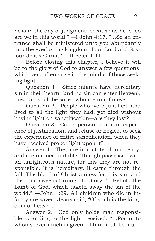ness in the day of judgment: because as he is, so are we in this world." —I John 4:17. "...So an entrance shall be ministered unto you abundantly into the everlasting kingdom of our Lord and Saviour Jesus Christ." —II Peter 1:11.

Before closing this chapter, I believe it will be to the glory of God to answer a few questions, which very often arise in the minds of those seeking light.

Question 1. Since infants have hereditary sin in their hearts (and no sin can enter Heaven), how can such be saved who die in infancy?

Question 2. People who were justified, and lived to all the light they had, yet died without having light on sanctification—are they lost?

Question 3. Can a person retain an experience of justification, and refuse or neglect to seek the experience of entire sanctification, when they have received proper light upon it?

Answer 1. They are in a state of innocency, and are not accountable. Though possessed with an unrighteous nature, for this they are not responsible. It is hereditary. It came through the fall. The blood of Christ atones for this sin, and the child sweeps through to Glory. "...Behold the Lamb of God, which taketh away the sin of the world." —John 1:29. All children who die in infancy are saved. Jesus said, "Of such is the kingdom of heaven."

Answer 2. God only holds man responsible according to the light received. "...For unto whomsoever much is given, of him shall be much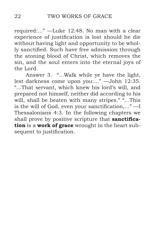required:..." —Luke 12:48. No man with a clear experience of justification is lost should he die without having light and opportunity to be wholly sanctified. Such have free admission through the atoning blood of Christ, which removes the sin, and the soul enters into the eternal joys of the Lord.

Answer 3. "...Walk while ye have the light, lest darkness come upon you:..." —John 12:35. "...That servant, which knew his lord's will, and prepared not himself, neither did according to his will, shall be beaten with many stripes." "...This is the will of God, even your sanctification,..." —I Thessalonians 4:3. In the following chapters we shall prove by positive scripture that **sanctification** is a **work of grace** wrought in the heart subsequent to justification.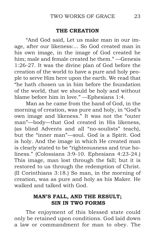### **THE CREATION**

<span id="page-24-0"></span>"And God said, Let us make man in our image, after our likeness:... So God created man in his own image, in the image of God created he him; male and female created he them." —Genesis 1:26-27. It was the divine plan of God before the creation of the world to have a pure and holy people to serve Him here upon the earth. We read that "he hath chosen us in him before the foundation of the world, that we should be holy and without blame before him in love." —Ephesians 1:4.

Man as he came from the hand of God, in the morning of creation, was pure and holy, in "God's own image and likeness." It was not the "outer man"—body—that God created in His likeness, (as blind Advents and all "no-soulists" teach), but the "inner man"—soul. God is a Spirit. God is holy. And the image in which He created man is clearly stated to be "righteousness and true holiness." (Colossians 3:9-10. Ephesians 4:23-24.) This image, man lost through the fall; but it is restored to us through the redemption of Christ. (II Corinthians 3:18.) So man, in the morning of creation, was as pure and holy as his Maker. He walked and talked with God.

### **MAN'S FALL, AND THE RESULT; SIN IN TWO FORMS**

The enjoyment of this blessed state could only be retained upon conditions. God laid down a law or commandment for man to obey. The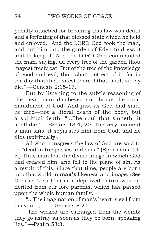penalty attached for breaking this law was death and a forfeiting of that blessed state which he held and enjoyed. "And the LORD God took the man, and put him into the garden of Eden to dress it and to keep it. And the LORD God commanded the man, saying, Of every tree of the garden thou mayest freely eat: But of the tree of the knowledge of good and evil, thou shalt not eat of it: for in the day that thou eatest thereof thou shalt surely die." —Genesis 2:15-17.

But by listening to the subtle reasoning of the devil, man disobeyed and broke the commandment of God. And just as God had said, he died—not a literal death of the body, but a spiritual death. "...The soul that sinneth, it shall die." —Ezekiel 18:4, 20. The very moment a man sins, it separates him from God, and he dies (spiritually).

All who transgress the law of God are said to be "dead in trespasses and sins." (Ephesians 2:1, 5.) Thus man lost the divine image in which God had created him, and fell to the plane of sin. As a result of this, since that time, people are born into this world in **man's** likeness and image. (See Genesis 5:3.) That is, a depraved nature was inherited from our fore parents, which has passed upon the whole human family.

"...The imagination of man's heart is evil from his youth;..." —Genesis 8:21.

"The wicked are estranged from the womb: they go astray as soon as they be born, speaking lies." —Psalm 58:3.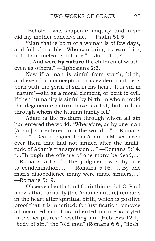"Behold, I was shapen in iniquity; and in sin did my mother conceive me." —Psalm 51:5.

"Man that is born of a woman is of few days, and full of trouble…Who can bring a clean thing out of an unclean? not one." —Job 14:1, 4.

"...And were **by nature** the children of wrath, even as others." —Ephesians 2:3.

Now if a man is sinful from youth, birth, and even from conception, it is evident that he is born with the germ of sin in his heart. It is sin in "nature"—sin as a moral element, or bent to evil. If then humanity is sinful by birth, in whom could the degenerate nature have started, but in him through whom the human family fell?

Adam is the medium through whom all sin has entered the world. "Wherefore, as by one man [Adam] sin entered into the world,..." —Romans 5:12. "...Death reigned from Adam to Moses, even over them that had not sinned after the similitude of Adam's transgression,..." —Romans 5:14. "...Through the offense of one many be dead,..." —Romans 5:15. "...The judgment was by one to condemnation,..." —Romans 5:16. "...By one man's disobedience many were made sinners,..." —Romans 5:19.

Observe also that in I Corinthians 3:1-3, Paul shows that carnality (the Adamic nature) remains in the heart after spiritual birth, which is positive proof that it is inherited; for justification removes all acquired sin. This inherited nature is styled in the scriptures: "besetting sin" (Hebrews 12:1), "body of sin," the "old man" (Romans 6:6), "flesh"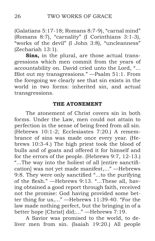<span id="page-27-0"></span>(Galatians 5:17-18; Romans 8:7-9), "carnal mind" (Romans 8:7), "carnality" (I Corinthians 3:1-3), "works of the devil" (I John 3:8), "uncleanness" (Zechariah 13:1).

**Sins,** in the plural, are those actual transgressions which men commit from the years of accountability on. David cried unto the Lord, "... Blot out my transgressions." —Psalm 51:1. From the foregoing we clearly see that sin exists in the world in two forms: inherited sin, and actual transgressions.

### **THE ATONEMENT**

The atonement of Christ covers sin in both forms. Under the Law, men could not attain to perfection in the sense of being freed from all sin. (Hebrews 10:1-2; Ecclesiastes 7:20.) A remembrance of sins was made once every year. (Hebrews 10:3-4.) The high priest took the blood of bulls and of goats and offered it for himself and for the errors of the people. (Hebrews 9:7, 12-13.) "...The way into the holiest of all [entire sanctification] was not yet made manifest,..." —Hebrews 9:8. They were only sanctified "...to the purifying of the flesh." —Hebrews 9:13. "...These all, having obtained a good report through faith, received not the promise: God having provided some better thing for us,..." —Hebrews 11:39-40. "For the law made nothing perfect, but the bringing in of a better hope [Christ] did;..." —Hebrews 7:19.

A Savior was promised to the world, to deliver men from sin. (Isaiah 19:20.) All people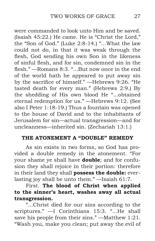<span id="page-28-0"></span>were commanded to look unto Him and be saved. (Isaiah 45:22.) He came. He is "Christ the Lord," the "Son of God." (Luke 2:8-14.) "...What the law could not do, in that it was weak through the flesh, God sending his own Son in the likeness of sinful flesh, and for sin, condemned sin in the flesh." —Romans 8:3. "...But now once in the end of the world hath he appeared to put away sin by the sacrifice of himself." —Hebrews 9:26. "He tasted death for every man." (Hebrews 2:9.) By the shedding of His own blood He "...obtained eternal redemption for us." —Hebrews 9:12. (See also I Peter 1:18-19.) Thus a fountain was opened to the house of David and to the inhabitants of Jerusalem for sin—actual transgression—and for uncleanness—inherited sin. (Zechariah 13:1.)

## **THE ATONEMENT A "DOUBLE" REMEDY**

As sin exists in two forms, so God has provided a double remedy in the atonement. "For your shame ye shall have **double**; and for confusion they shall rejoice in their portion: therefore in their land they shall **possess the double:** everlasting joy shall be unto them." —Isaiah 61:7.

First. **The blood of Christ when applied to the sinner's heart, washes away all actual transgression.**

"...Christ died for our sins according to the scriptures." —I Corinthians 15:3. "...He shall save his people from their sins." —Matthew 1:21. "Wash you, make you clean; put away the evil of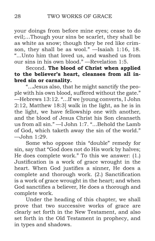your doings from before mine eyes; cease to do evil;...Though your sins be scarlet, they shall be as white as snow; though they be red like crimson, they shall be as wool." —Isaiah 1:16, 18. "...Unto him that loved us, and washed us from our sins in his own blood." —Revelation 1:5.

# Second. **The blood of Christ when applied to the believer's heart, cleanses from all inbred sin or carnality.**

"...Jesus also, that he might sanctify the people with his own blood, suffered without the gate." —Hebrews 13:12. "...If we [young converts, I John 2:12, Matthew 18:3] walk in the light, as he is in the light, we have fellowship one with another, and the blood of Jesus Christ his Son cleanseth us from all sin." —I John 1:7. "...Behold the Lamb of God, which taketh away the sin of the world."  $-$ John  $1:29$ .

Some who oppose this "double" remedy for sin, say that "God does not do His work by halves; He does complete work." To this we answer: (1.) Justification is a work of grace wrought in the heart. When God justifies a sinner, He does a complete and thorough work. (2.) Sanctification is a work of grace wrought in the heart; and when God sanctifies a believer, He does a thorough and complete work.

Under the heading of this chapter, we shall prove that two successive works of grace are clearly set forth in the New Testament, and also set forth in the Old Testament in prophecy, and in types and shadows.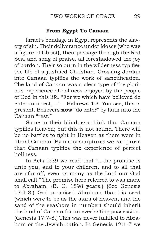### **From Egypt To Canaan**

Israel's bondage in Egypt represents the slavery of sin. Their deliverance under Moses (who was a figure of Christ), their passage through the Red Sea, and song of praise, all foreshadowed the joy of pardon. Their sojourn in the wilderness typifies the life of a justified Christian. Crossing Jordan into Canaan typifies the work of sanctification. The land of Canaan was a clear type of the glorious experience of holiness enjoyed by the people of God in this life. "For we which have believed do enter into rest,..." —Hebrews 4:3. You see, this is present. Believers **now** "do enter" by faith into the Canaan "rest."

Some in their blindness think that Canaan typifies Heaven; but this is not sound. There will be no battles to fight in Heaven as there were in literal Canaan. By many scriptures we can prove that Canaan typifies the experience of perfect holiness.

In Acts 2:39 we read that "...the promise is unto you, and to your children, and to all that are afar off, even as many as the Lord our God shall call." The promise here referred to was made to Abraham. (B. C. 1898 years.) (See Genesis 17:1-8.) God promised Abraham that his seed (which were to be as the stars of heaven, and the sand of the seashore in number) should inherit the land of Canaan for an everlasting possession. (Genesis 17:7-8.) This was never fulfilled to Abraham or the Jewish nation. In Genesis 12:1-7 we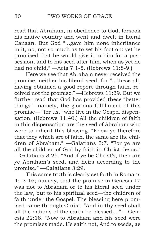read that Abraham, in obedience to God, forsook his native country and went and dwelt in literal Canaan. But God "...gave him none inheritance in it, no, not so much as to set his foot on: yet he promised that he would give it to him for a possession, and to his seed after him, when as yet he had no child." —Acts 7:1-5. (Hebrews 11:8-9.)

Here we see that Abraham never received the promise, neither his literal seed; for "...these all, having obtained a good report through faith, received not the promise." —Hebrews 11:39. But we further read that God has provided these "better things"—namely, the glorious fulfillment of this promise— "for us," who live in the Gospel dispensation. (Hebrews 11:40.) All the children of faith in this dispensation are the seed of Abraham who were to inherit this blessing. "Know ye therefore that they which are of faith, the same are the children of Abraham." —Galatians 3:7. "For ye are all the children of God by faith in Christ Jesus." —Galatians 3:26. "And if ye be Christ's, then are ye Abraham's seed, and heirs according to the promise." —Galatians 3:29.

This same truth is clearly set forth in Romans 4:13-16; namely, that the promise in Genesis 17 was not to Abraham or to his literal seed under the law, but to his spiritual seed—the children of faith under the Gospel. The blessing here promised came through Christ. "And in thy seed shall all the nations of the earth be blessed;..." —Genesis 22:18. "Now to Abraham and his seed were the promises made. He saith not, And to seeds, as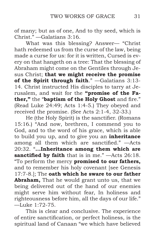of many; but as of one, And to thy seed, which is Christ." —Galatians 3:16.

What was this blessing? Answer— "Christ hath redeemed us from the curse of the law, being made a curse for us: for it is written, Cursed is every on that hangeth on a tree: That the blessing of Abraham might come on the Gentiles through Jesus Christ; **that we might receive the promise of the Spirit through faith**." —Galatians 3:13- 14. Christ instructed His disciples to tarry at Jerusalem, and wait for the **"promise of the Father,"** the "**baptism of the Holy Ghost** and fire." (Read Luke 24:49; Acts 1:4-5.) They obeyed and received the promise. (See Acts 2:1-4, 32-33.)

He (the Holy Spirit) is the sanctifier. (Romans 15:16.) "And now, brethren, I commend you to God, and to the word of his grace, which is able to build you up, and to give you an **inheritance** among all them which are sanctified." —Acts 20:32. "**...Inheritance among them which are sanctified by faith** that is in me." —Acts 26:18. "To perform the mercy **promised to our fathers,** and to remember his holy covenant [see Genesis 17:7-8.]; The **oath which he sware to our father Abraham,** That he would grant unto us, that we being delivered out of the hand of our enemies might serve him without fear, In holiness and righteousness before him, all the days of our life." —Luke 1:72-75.

This is clear and conclusive. The experience of entire sanctification, or perfect holiness, is the spiritual land of Canaan "we which have believed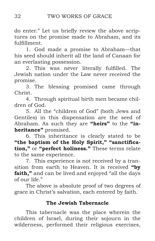do enter." Let us briefly review the above scriptures on the promise made to Abraham, and its fulfillment.

1. God made a promise to Abraham—that his seed should inherit all the land of Canaan for an everlasting possession.

2. This was never literally fulfilled. The Jewish nation under the Law never received the promise.

3. The blessing promised came through Christ.

4. Through spiritual birth men became children of God.

5. All the "children of God" (both Jews and Gentiles) in this dispensation are the seed of Abraham. As such they are **"heirs"** to the **"inheritance"** promised.

6. This inheritance is clearly stated to be **"the baptism of the Holy Spirit," "sanctification,"** or **"perfect holiness."** These terms relate to the same experience.

7. This experience is not received by a transition from earth to Heaven. It is received **"by faith,"** and can be lived and enjoyed "all the days of our life."

The above is absolute proof of two degrees of grace in Christ's salvation, each entered by faith.

# **The Jewish Tabernacle**

This tabernacle was the place wherein the children of Israel, during their sojourn in the wilderness, performed their religious exercises,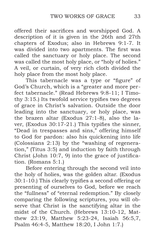offered their sacrifices and worshipped God. A description of it is given in the 26th and 27th chapters of Exodus; also in Hebrews 9:1-7. It was divided into two apartments. The first was called the sanctuary or holy place. The second was called the most holy place, or "holy of holies." A veil, or curtain, of very rich cloth divided the holy place from the most holy place.

This tabernacle was a type or "figure" of God's Church, which is a "greater and more perfect tabernacle." (Read Hebrews 9:8-11; I Timothy 3:15.) Its twofold service typifies two degrees of grace in Christ's salvation. Outside the door leading into the sanctuary, or holy place, was the brazen altar (Exodus 27:1-8), also the laver, (Exodus 30:17-21.) This typifies the sinner, "Dead in trespasses and sins," offering himself to God for pardon: also his quickening into life (Colossians 2:13) by the "washing of regeneration," (Titus 3:5) and induction by faith through Christ (John 10:7, 9) into the grace of justification. (Romans 5:1.)

Before entering through the second veil into the holy of holies, was the golden altar. (Exodus 30:1-10.) This clearly typifies a second offering or presenting of ourselves to God, before we reach the "fullness" of "eternal redemption." By closely comparing the following scriptures, you will observe that Christ is the sanctifying altar in the midst of the Church. (Hebrews 13:10-12, Matthew 23:19, Matthew 5:23-24, Isaiah 56:5,7, Psalm 46:4-5, Matthew 18:20, I John 1:7.)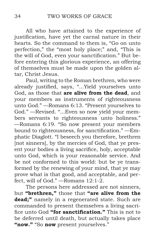All who have attained to the experience of justification, have yet the carnal nature in their hearts. So the command to them is, "Go on unto perfection," the "most holy place;" and, "This is the will of God, even your sanctification." But before entering this glorious experience, an offering of themselves must be made upon the golden altar, Christ Jesus.

Paul, writing to the Roman brethren, who were already justified, says, "...Yield yourselves unto God, as those that **are alive from the dead**, and your members as instruments of righteousness unto God." —Romans 6:13. "Present yourselves to God." —Revised. "...Even so now yield your members servants to righteousness unto holiness." —Romans 6:19. "So now present your members bound to righteousness, for sanctification." —Emphatic Diaglott. "I beseech you therefore, brethren [not sinners], by the mercies of God, that ye present your bodies a living sacrifice, holy, acceptable unto God, which is your reasonable service. And be not conformed to this world: but be ye transformed by the renewing of your mind, that ye may prove what is that good, and acceptable, and perfect, will of God." —Romans 12:1-2.

The persons here addressed are not sinners, but **"brethren,"** those that **"are alive from the dead;"** namely in a regenerated state. Such are commanded to present themselves a living sacrifice unto God **"for sanctification."** This is not to be deferred until death, but actually takes place **"now."** "So **now** present yourselves."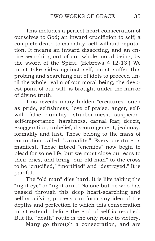This includes a perfect heart consecration of ourselves to God; an inward crucifixion to self; a complete death to carnality, self-will and reputation. It means an inward dissecting, and an entire searching out of our whole moral being, by the sword of the Spirit. (Hebrews 4:12-13.) We must take sides against self; must suffer this probing and searching out of idols to proceed until the whole realm of our moral being, the deepest point of our will, is brought under the mirror of divine truth.

This reveals many hidden "creatures" such as pride, selfishness, love of praise, anger, selfwill, false humility, stubbornness, suspicion, self-importance, harshness, carnal fear, deceit, exaggeration, unbelief, discouragement, jealousy, formality and lust. These belong to the mass of corruption called "carnality." Every creature is manifest. These inbred "enemies" now begin to plead for some life, but we must close our ears to their cries, and bring "our old man" to the cross to be "crucified," "mortified" and "destroyed." It is painful.

The "old man" dies hard. It is like taking the "right eye" or "right arm." No one but he who has passed through this deep heart-searching and self-crucifying process can form any idea of the depths and perfection to which this consecration must extend—before the end of self is reached. But the "death" route is the only route to victory.

Many go through a consecration, and are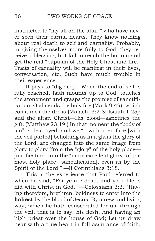instructed to "lay all on the altar," who have never seen their carnal hearts. They know nothing about real death to self and carnality. Probably, in giving themselves more fully to God, they receive a blessing, but fail to reach the bottom and get the real "baptism of the Holy Ghost and fire." Traits of carnality will be manifest in their lives, conversation, etc. Such have much trouble in their experience.

It pays to "dig deep." When the end of self is fully reached, faith mounts up to God, touches the atonement and grasps the promise of sanctification; God sends the holy fire (Mark 9:49), which consumes the dross (Malachi 3:2-3; Isaiah 1:25); and the altar, Christ—His blood—sanctifies the gift. (Matthew 23:19.) In that moment the "body of sin" is destroyed, and we "...with open face [with the veil parted] beholding as in a glass the glory of the Lord, are changed into the same image from glory to glory [from the "glory" of the holy place justification, into the "more excellent glory" of the most holy place—sanctification], even as by the Spirit of the Lord." —II Corinthians 3:18.

This is the experience that Paul referred to when he said, "For ye are dead, and your life is hid with Christ in God." —Colossians 3:3. "Having therefore, brethren, boldness to enter into the **holiest** by the blood of Jesus, By a new and living way, which he hath consecrated for us, through the veil, that is to say, his flesh; And having an high priest over the house of God; Let us draw near with a true heart in full assurance of faith,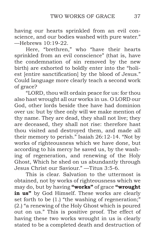having our hearts sprinkled from an evil conscience, and our bodies washed with pure water." —Hebrews 10:19-22.

Here, "brethren," who "have their hearts sprinkled from an evil conscience" (that is, have the condemnation of sin removed by the new birth) are exhorted to boldly enter into the "holiest [entire sanctification] by the blood of Jesus." Could language more clearly teach a second work of grace?

"LORD, thou wilt ordain peace for us: for thou also hast wrought all our works in us. O LORD our God, other lords beside thee have had dominion over us: but by thee only will we make mention of thy name. They are dead, they shall not live; they are deceased, they shall not rise: therefore hast thou visited and destroyed them, and made all their memory to perish." Isaiah 26:12-14. "Not by works of righteousness which we have done, but according to his mercy he saved us, by the washing of regeneration, and renewing of the Holy Ghost, Which he shed on us abundantly through Jesus Christ our Saviour." —Titus 3:5-6.

This is clear. Salvation to the uttermost is obtained, not by works of righteousness which we may do, but by having **"works"** of grace **"wrought in us"** by God Himself. These works are clearly set forth to be (1.) "the washing of regeneration;" (2.) "a renewing of the Holy Ghost which is poured out on us." This is positive proof. The effect of having these two works wrought in us is clearly stated to be a completed death and destruction of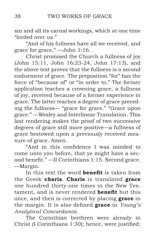sin and all its carnal workings, which at one time "lorded over us."

"And of his fullness have all we received, and grace for grace." —John 1:16.

Christ promised the Church a fullness of joy (John 15:11, John 16:23-24, John 17:13), and the above text proves that the fullness is a second enduement of grace. The preposition "for" has the force of "because of" or "in order to." The former application teaches a crowning grace, a fullness of joy, received because of a former experience in grace. The latter teaches a degree of grace preceding the fullness— "grace for grace." "Grace upon grace." —Wesley and Interlinear Translation. This last rendering makes the proof of two successive degrees of grace still more positive—a fullness of grace bestowed upon a previously received measure of grace. Amen.

"And in this confidence I was minded to come unto you before, that ye might have a second benefit." —II Corinthians 1:15. Second grace. —Margin.

In this text the word **benefit** is taken from the Greek **charis**. **Charis** is translated **grace** one hundred thirty-one times in the New Testament, and is never rendered **benefit** but this once, and then is corrected by placing **grace** in the margin. It is also defined **grace** in *Young's Analytical Concordance*.

The Corinthian brethren were already in Christ (I Corinthians 1:30); hence, were justified;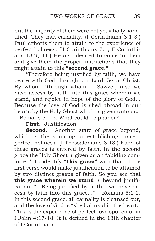but the majority of them were not yet wholly sanctified. They had carnality. (I Corinthians 3:1-3.) Paul exhorts them to attain to the experience of perfect holiness. (II Corinthians 7:1; II Corinthians 13:9, 11.) He also desired to come to them and give them the proper instructions that they might attain to this **"second grace."**

"Therefore being justified by faith, we have peace with God through our Lord Jesus Christ: By whom ["through whom" —Sawyer] also we have access by faith into this grace wherein we stand, and rejoice in hope of the glory of God... Because the love of God is shed abroad in our hearts by the Holy Ghost which is given unto us." —Romans 5:1-5. What could be plainer?

**First.** Justification.

**Second.** Another state of grace beyond, which is the standing or establishing grace perfect holiness. (I Thessalonians 3:13.) Each of these graces is entered by faith. In the second grace the Holy Ghost is given as an "abiding comforter." To identify **"this grace"** with that of the first verse would make justification to be attained by two distinct grasps of faith. So you see that **this grace wherein we stand** is beyond justification. "...Being justified by faith,...we have access by faith into this grace..." —Romans 5:1-2. In this second grace, all carnality is cleansed out, and the love of God is "shed abroad in the heart." This is the experience of perfect love spoken of in I John 4:17-18. It is defined in the 13th chapter of I Corinthians.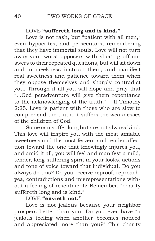#### LOVE **"suffereth long and is kind."**

Love is not rash, but "patient with all men," even hypocrites, and persecutors, remembering that they have immortal souls. Love will not turn away your worst opposers with short, gruff answers to their repeated questions, but will sit down and in meekness instruct them, and manifest real sweetness and patience toward them when they oppose themselves and sharply contradict you. Through it all you will hope and pray that "...God peradventure will give them repentance to the acknowledging of the truth." —II Timothy 2:25. Love is patient with those who are slow to comprehend the truth. It suffers the weaknesses of the children of God.

Some can suffer long but are not always kind. This love will inspire you with the most amiable sweetness and the most fervent and tender affection toward the one that knowingly injures you, and amid it all, you will feel and manifest a mild, tender, long-suffering spirit in your looks, actions and tone of voice toward that individual. Do you always do this? Do you receive reproof, reproach, yea, contradictions and misrepresentations without a feeling of resentment? Remember, "charity suffereth long and is kind."

# LOVE **"envieth not."**

Love is not jealous because your neighbor prospers better than you. Do you ever have "a jealous feeling when another becomes noticed and appreciated more than you?" This charity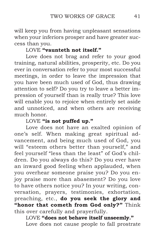will keep you from having unpleasant sensations when your inferiors prosper and have greater success than you.

# LOVE **"vaunteth not itself."**

Love does not brag and refer to your good training, natural abilities, prosperity, etc. Do you ever in conversation refer to your most successful meetings, in order to leave the impression that you have been much used of God, thus drawing attention to self? Do you try to leave a better impression of yourself than is really true? This love will enable you to rejoice when entirely set aside and unnoticed, and when others are receiving much honor.

# LOVE **"is not puffed up."**

Love does not have an exalted opinion of one's self. When making great spiritual advancement, and being much used of God, you will "esteem others better than yourself," and feel yourself "less than the least" of God's children. Do you always do this? Do you ever have an inward good feeling when applauded, when you overhear someone praise you? Do you enjoy praise more than abasement? Do you love to have others notice you? In your writing, conversation, prayers, testimonies, exhortation, preaching, etc., **do you seek the glory and "honor that cometh from God only?"** Think this over carefully and prayerfully.

LOVE **"does not behave itself unseemly."** Love does not cause people to fall prostrate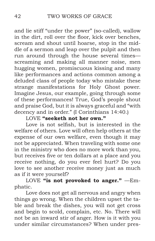and lie stiff "under the power" (so-called), wallow in the dirt, roll over the floor, kick over benches, scream and shout until hoarse, stop in the middle of a sermon and leap over the pulpit and then run around through the house several times screaming and making all manner noise, men hugging women, promiscuous kissing and many like performances and actions common among a deluded class of people today who mistake these strange manifestations for Holy Ghost power. Imagine Jesus, our example, going through some of these performances! True, God's people shout and praise God, but it is always graceful and "with decency and in order." (I Corinthians 14:40.)

LOVE **"seeketh not her own."**

Love is not selfish, but is interested in the welfare of others. Love will often help others at the expense of our own welfare, even though it may not be appreciated. When traveling with some one in the ministry who does no more work than you, but receives five or ten dollars at a place and you receive nothing, do you ever feel hurt? Do you love to see another receive money just as much as if it were yourself?

LOVE "is not provoked to anger." -Emphatic.

Love does not get all nervous and angry when things go wrong. When the children upset the table and break the dishes, you will not get cross and begin to scold, complain, etc. No. There will not be an inward stir of anger. How is it with you under similar circumstances? When under pres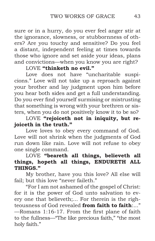sure or in a hurry, do you ever feel anger stir at the ignorance, slowness, or stubbornness of others? Are you touchy and sensitive? Do you feel a distant, independent feeling at times towards those who ignore and set aside your ideas, plans and convictions—when you know you are right?

# LOVE **"thinketh no evil."**

Love does not have "uncharitable suspicions." Love will not take up a reproach against your brother and lay judgment upon him before you hear both sides and get a full understanding. Do you ever find yourself surmising or mistrusting that something is wrong with your brethren or sisters, when you do not positively know it to be so?

LOVE **"rejoiceth not in iniquity, but rejoiceth in the truth."**

Love loves to obey every command of God. Love will not shrink when the judgments of God run down like rain. Love will not refuse to obey one single command.

# LOVE **"beareth all things, believeth all things, hopeth all things, ENDURETH ALL THINGS."**

My brother, have you this love? All else will fail; but this love "never faileth."

"For I am not ashamed of the gospel of Christ: for it is the power of God unto salvation to every one that believeth;... For therein is the righteousness of God revealed **from faith to faith**:..." —Romans 1:16-17. From the first plane of faith to the fullness—"The like precious faith," "the most holy faith."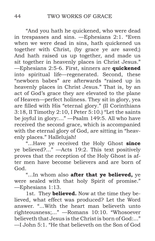"And you hath he quickened, who were dead in trespasses and sins. —Ephesians 2:1. "Even when we were dead in sins, hath quickened us together with Christ, (by grace ye are saved;) And hath raised us up together, and made us sit together in heavenly places in Christ Jesus." —Ephesians 2:5-6. First, sinners are **quickened** into spiritual life—regenerated. Second, these "newborn babes" are afterwards "raised up in heavenly places in Christ Jesus." That is, by an act of God's grace they are elevated to the plane of Heaven—perfect holiness. They sit in glory, yea are filled with His "eternal glory." (II Corinthians 3:18, II Timothy 2:10, I Peter 5:10.) "Let the saints be joyful in glory:..." —Psalm 149:5. All who have received the second grace, which is accompanied with the eternal glory of God, are sitting in "heavenly places." Hallelujah!

"...Have ye received the Holy Ghost **since** ye believed?..." —Acts 19:2. This text positively proves that the reception of the Holy Ghost is after men have become believers and are born of God.

"...In whom also **after that ye believed,** ye were sealed with that holy Spirit of promise." —Ephesians 1:13.

1st. They **believed.** Now at the time they believed, what effect was produced? Let the Word answer. "...With the heart man believeth unto righteousness;..." —Romans 10:10. "Whosoever believeth that Jesus is the Christ is born of God:..." —I John 5:1. "He that believeth on the Son of God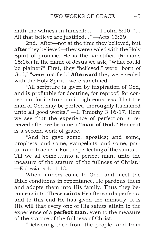hath the witness in himself:..." —I John 5:10. "... All that believe are justified..." —Acts 13:39.

2nd. After—not at the time they believed, but **after** they believed—they were sealed with the Holy Spirit of promise. He is the sanctifier. (Romans 15:16.) In the name of Jesus we ask, "What could be plainer?" First, they "believed," were "born of God," "were justified." **Afterward** they were sealed with the Holy Spirit—were sanctified.

"All scripture is given by inspiration of God, and is profitable for doctrine, for reproof, for correction, for instruction in righteousness: That the man of God may be perfect, thoroughly furnished unto all good works." —II Timothy 3:16-17. Here we see that the experience of perfection is received after we become a **"man of God."** Hence it is a second work of grace.

"And he gave some, apostles; and some, prophets; and some, evangelists; and some, pastors and teachers; For the perfecting of the saints,... Till we all come...unto a perfect man, unto the measure of the stature of the fullness of Christ." —Ephesians 4:11-13.

When sinners come to God, and meet the Bible conditions in repentance, He pardons them and adopts them into His family. Thus they become saints. These **saints** He afterwards perfects, and to this end He has given the ministry. It is His will that every one of His saints attain to the experience of a **perfect man,** even to the measure of the stature of the fullness of Christ.

"Delivering thee from the people, and from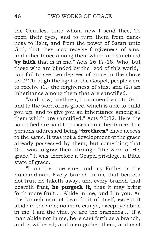the Gentiles, unto whom now I send thee, To open their eyes, and to turn them from darkness to light, and from the power of Satan unto God, that they may receive forgiveness of sins, and inheritance among them which are sanctified **by faith** that is in me." Acts 26:17-18. Who, but those who are blinded by the "god of this world," can fail to see two degrees of grace in the above text? Through the light of the Gospel, people were to receive (1.) the forgiveness of sins, and (2.) an inheritance among them that are sanctified.

"And now, brethren, I commend you to God, and to the word of his grace, which is able to build you up, and to give you an inheritance among all them which are sanctified." Acts 20:32. Here the sanctified are said to possess an inheritance. The persons addressed being **"brethren"** have access to the same. It was not a development of the grace already possessed by them, but something that God was to **give** them through "the word of His grace." It was therefore a Gospel privilege, a Bible state of grace.

"I am the true vine, and my Father is the husbandman. Every branch in me that beareth not fruit he taketh away; and every branch that beareth fruit, **he purgeth it,** that it may bring forth more fruit.... Abide in me, and I in you. As the branch cannot bear fruit of itself, except it abide in the vine; no more can ye, except ye abide in me. I am the vine, ye are the branches:... If a man abide not in me, he is cast forth as a branch, and is withered; and men gather them, and cast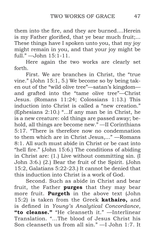them into the fire, and they are burned....Herein is my Father glorified, that ye bear much fruit;... These things have I spoken unto you, that my joy might remain in you, and that your joy might be full."  $\rightarrow$  John 15:1-11.

Here again the two works are clearly set forth.

First. We are branches in Christ, the "true vine." (John 15:1, 5.) We become so by being taken out of the "wild olive tree"—satan's kingdom and grafted into the "tame olive tree"—Christ Jesus. (Romans 11:24; Colossians 1:13.) This induction into Christ is called a "new creation." (Ephesians 2:10.) "...If any man be in Christ, he is a new creature: old things are passed away; behold, all things are become new." —II Corinthians 5:17. "There is therefore now no condemnation to them which are in Christ Jesus,..." —Romans 8:1. All such must abide in Christ or be cast into "hell fire." (John 15:6.) The conditions of abiding in Christ are: (1.) Live without committing sin. (I John 3:6.) (2.) Bear the fruit of the Spirit. (John 15:2, Galatians 5:22-23.) It cannot be denied that this induction into Christ is a work of God.

Second. Such as abide in Christ and bear fruit, the Father **purges** that they may bear more fruit. **Purgeth** in the above text (John 15:2) is taken from the Greek **kathairo,** and is defined in *Young's Analytical Concordance*, **"to cleanse."** "He cleanseth it." —Interlinear Translation. "...The blood of Jesus Christ his Son cleanseth us from all sin." —I John 1:7. It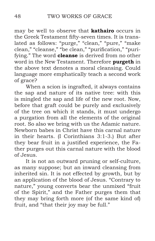may be well to observe that **kathairo** occurs in the Greek Testament fifty-seven times. It is translated as follows: "purge," "clean," "pure," "make clean," "cleanse," "be clean," "purification," "purifying." The word **cleanse** is derived from no other word in the New Testament. Therefore **purgeth** in the above text denotes a moral cleansing. Could language more emphatically teach a second work of grace?

When a scion is ingrafted, it always contains the sap and nature of its native tree: with this is mingled the sap and life of the new root. Now, before that graft could be purely and exclusively of the tree on which it stands, it must undergo a purgation from all the elements of the original root. So also we bring with us the Adamic nature. Newborn babes in Christ have this carnal nature in their hearts. (I Corinthians 3:1-3.) But after they bear fruit in a justified experience, the Father purges out this carnal nature with the blood of Jesus.

It is not an outward pruning or self-culture, as many suppose; but an inward cleansing from inherited sin. It is not effected by growth, but by an application of the blood of Jesus. "Contrary to nature," young converts bear the unmixed "fruit of the Spirit," and the Father purges them that they may bring forth more (of the same kind of) fruit, and "that their joy may be full."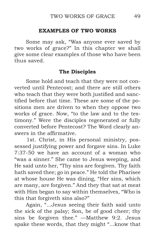### **EXAMPLES OF TWO WORKS**

Some may ask, "Was anyone ever saved by two works of grace?" In this chapter we shall give some clear examples of those who have been thus saved.

# **The Disciples**

Some hold and teach that they were not converted until Pentecost; and there are still others who teach that they were both justified and sanctified before that time. These are some of the positions men are driven to when they oppose two works of grace. Now, "to the law and to the testimony." Were the disciples regenerated or fully converted before Pentecost? The Word clearly answers in the affirmative.

 1st. Christ, in His personal ministry, possessed justifying power and forgave sins. In Luke 7:37-50 we have an account of a woman who "was a sinner." She came to Jesus weeping, and He said unto her, "Thy sins are forgiven. Thy faith hath saved thee; go in peace." He told the Pharisee at whose house He was dining, "Her sins, which are many, are forgiven." And they that sat at meat with Him began to say within themselves, "Who is this that forgiveth sins also?"

Again, "...Jesus seeing their faith said unto the sick of the palsy; Son, be of good cheer; thy sins be forgiven thee." —Matthew 9:2. Jesus spake these words, that they might "...know that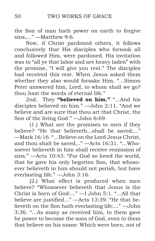the Son of man hath power on earth to forgive sins,..." —Matthew 9:6.

Now, if Christ pardoned others, it follows conclusively that His disciples who forsook all and followed Him, were pardoned. His invitation was to "all ye that labor and are heavy laden" with the promise, "I will give you rest." The disciples had received this rest. When Jesus asked them whether they also would forsake Him, "...Simon Peter answered him, Lord, to whom shall we go? thou hast the words of eternal life."

2nd. They **"believed on him."** "...And his disciples believed on him." —John 2:11. "And we believe and are sure that thou art that Christ, the Son of the living God." —John 6:69.

 (1.) What are the promises to men if they believe? "He that believeth...shall be saved;..." —Mark 16:16. "...Believe on the Lord Jesus Christ, and thou shalt be saved,.." —Acts 16:31. "...Whosoever believeth in him shall receive remission of sins." —Acts 10:43. "For God so loved the world, that he gave his only begotten Son, that whosoever believeth in him should not perish, but have everlasting life." —John 3:16.

 (2.) What effect is produced when men believe? "Whosoever believeth that Jesus is the Christ is born of God:..." —I John 5:1. "...All that believe are justified..." —Acts 13:39. "He that believeth on the Son hath everlasting life:..." —John 3:36. "...As many as received him, to them gave he power to become the sons of God, even to them that believe on his name: Which were born, not of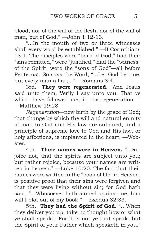blood, nor of the will of the flesh, nor of the will of man, but of God." —John 1:12-13.

"...In the mouth of two or three witnesses shall every word be established." —II Corinthians 13:1. The disciples were "born of God," had their "sins remitted," were "justified," had the "witness" of the Spirit, were the "sons of God"—all before Pentecost. So says the Word, "...Let God be true, but every man a liar;..." —Romans 3:4.

3rd. **They were regenerated.** "And Jesus said unto them, Verily I say unto you, That ye which have followed me, in the regeneration..." —Matthew 19:28.

*Regeneration*—new birth by the grace of God; that change by which the will and natural enmity of man to God and His law are subdued, and a principle of supreme love to God and His law, or holy affections, is implanted in the heart. —Webster.

4th. **Their names were in Heaven.** "...Rejoice not, that the spirits are subject unto you; but rather rejoice, because your names are written in heaven." —Luke 10:20. The fact that their names were written in the "book of life" in Heaven, is positive proof that their sins were forgiven and that they were living without sin; for God hath said, "...Whosoever hath sinned against me, him will I blot out of my book." —Exodus 32:33.

5th. **They had the Spirit of God.** "...When they deliver you up, take no thought how or what ye shall speak:...For it is not ye that speak, but the Spirit of your Father which speaketh in you."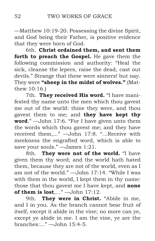—Matthew 10:19-20. Possessing the divine Spirit, and God being their Father, is positive evidence that they were born of God.

6th. **Christ ordained them, and sent them forth to preach the Gospel.** He gave them the following commission and authority: "Heal the sick, cleanse the lepers, raise the dead, cast out devils." Strange that these were sinners! but nay. They were **"sheep in the midst of wolves."** (Matthew 10:16.)

7th. **They received His word.** "I have manifested thy name unto the men which thou gavest me out of the world: thine they were, and thou gavest them to me; and **they have kept thy word**." —John 17:6. "For I have given unto them the words which thou gavest me; and they have received them,..." —John 17:8. "...Receive with meekness the engrafted word, which is able to save your souls." — James 1:21.

8th. **They were not of the world.** "I have given them thy word; and the world hath hated them, because they are not of the world, even as I am not of the world." —John 17:14. "While I was with them in the world, I kept them in thy name: those that thou gavest me I have kept, and **none of them is lost**,..." —John 17:12.

9th. **They were in Christ.** "Abide in me, and I in you. As the branch cannot bear fruit of itself, except it abide in the vine; no more can ye, except ye abide in me. I am the vine, ye are the branches:..." —John 15:4-5.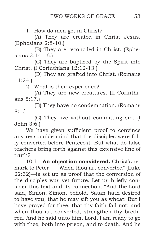1*.* How do men get in Christ?

(A) They are created in Christ Jesus. (Ephesians 2:8-10.)

(B) They are reconciled in Christ. (Ephesians 2:14-16.)

(C) They are baptized by the Spirit into Christ. (I Corinthians 12:12-13.)

(D) They are grafted into Christ. (Romans 11:24.)

2. What is their experience?

(A) They are new creatures. (II Corinthians 5:17.)

(B) They have no condemnation. (Romans 8:1.)

(C) They live without committing sin. (I John 3:6.)

We have given sufficient proof to convince any reasonable mind that the disciples were fully converted before Pentecost. But what do false teachers bring forth against this extensive line of truth?

10th. An objection considered. Christ's remark to Peter— " When thou art converted" (Luke 22:32)—is set up as proof that the conversion of the disciples was yet future. Let us briefly consider this text and its connection. "And the Lord said, Simon, Simon, behold, Satan hath desired to have you, that he may sift you as wheat: But I have prayed for thee, that thy faith fail not: and when thou art converted, strengthen thy brethren. And he said unto him, Lord, I am ready to go with thee, both into prison, and to death. And he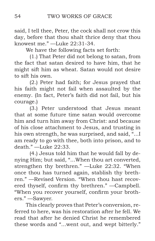said, I tell thee, Peter, the cock shall not crow this day, before that thou shalt thrice deny that thou knowest me." —Luke 22:31-34.

We have the following facts set forth:

 (1.) That Peter did not belong to satan, from the fact that satan desired to have him, that he might sift him as wheat. Satan would not desire to sift his own.

 (2.) Peter had faith; for Jesus prayed that his faith might not fail when assaulted by the enemy. (In fact, Peter's faith did not fail, but his courage.)

 (3.) Peter understood that Jesus meant that at some future time satan would overcome him and turn him away from Christ: and because of his close attachment to Jesus, and trusting in his own strength, he was surprised, and said, "...I am ready to go with thee, both into prison, and to death." —Luke 22:33.

 (4.) Jesus told him that he would fall by denying Him; but said, "...When thou art converted, strengthen thy brethren." —Luke 22:32. "When once thou has turned again, stablish thy brethren." —Revised Version. "When thou hast recovered thyself, confirm thy brethren." —Campbell. "When you recover yourself, confirm your brothers." —Sawyer.

This clearly proves that Peter's conversion, referred to here, was his restoration after he fell. We read that after he denied Christ he remembered these words and "...went out, and wept bitterly."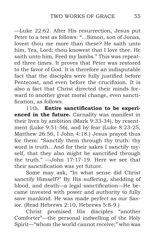—Luke 22:62. After His resurrection, Jesus put Peter to a test as follows: "...Simon, son of Jonas, lovest thou me more than these? He saith unto him, Yea, Lord; thou knowest that I love thee. He saith unto him, Feed my lambs." This was repeated three times. It proves that Peter was restored to the favor of God. It is therefore an indisputable fact that the disciples were fully justified before Pentecost, and even before the crucifixion. It is also a fact that Christ directed their minds forward to another great moral change, even sanctification, as follows.

11th. **Entire sanctification to be experienced in the future.** Carnality was manifest in their lives by ambition (Mark 9:33-34), by resentment (Luke 9:51-56), and by fear (Luke 8:23-25, Matthew 26:56, I John 4:18.) Jesus prayed thus for them: "Sanctify them through thy truth: thy word is truth…And for their sakes I sanctify myself, that they also might be sanctified through the truth." —John 17:17-19. Here we see that their sanctification was yet future.

Some may ask, "In what sense did Christ sanctify Himself?" By His suffering, shedding of blood, and death—a legal sanctification—He became invested with power and authority to fully save mankind. He was made perfect as our Savior. (Read Hebrews 2:10, Hebrews 5:8-9.)

Christ promised His disciples "another Comforter"—the personal indwelling of the Holy Spirit—"whom the world cannot receive;" who was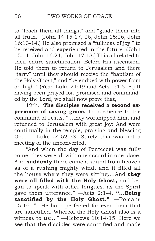to "teach them all things," and "guide them into all truth." (John 14:15-17, 26, John 15:26, John 16:13-14.) He also promised a "fullness of joy," to be received and experienced in the future. (John 15:11, John 16:24, John 17:13.) This all related to their entire sanctification. Before His ascension, He told them to return to Jerusalem and there "tarry" until they should receive the "baptism of the Holy Ghost," and "be endued with power from on high." (Read Luke 24:49 and Acts 1:4-5, 8.) It having been prayed for, promised and commanded by the Lord, we shall now prove that,

12th. **The disciples received a second experience of saving grace.** In obedience to the command of Jesus, "...they worshipped him, and returned to Jerusalem with great joy: And were continually in the temple, praising and blessing God." —Luke 24:52-53. Surely this was not a meeting of the unconverted.

"And when the day of Pentecost was fully come, they were all with one accord in one place. And **suddenly** there came a sound from heaven as of a rushing mighty wind, and it filled all the house where they were sitting....And **they were all filled with the Holy Ghost,** and began to speak with other tongues, as the Spirit gave them utterance." —Acts 2:1-4. **"...Being sanctified by the Holy Ghost."** —Romans 15:16. "...He hath perfected for ever them that are sanctified. Whereof the Holy Ghost also is a witness to us:..." —Hebrews 10:14-15. Here we see that the disciples were sanctified and made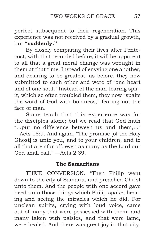perfect subsequent to their regeneration. This experience was not received by a gradual growth, but **"suddenly."**

By closely comparing their lives after Pentecost, with that recorded before, it will be apparent to all that a great moral change was wrought in them at that time. Instead of envying one another, and desiring to be greatest, as before, they now submitted to each other and were of "one heart and of one soul." Instead of the man-fearing spirit, which so often troubled them, they now "spake the word of God with boldness," fearing not the face of man.

Some teach that this experience was for the disciples alone; but we read that God hath "...put no difference between us and them,..." —Acts 15:9. And again, "The promise [of the Holy Ghost] is unto you, and to your children, and to all that are afar off, even as many as the Lord our God shall call." $-A$ cts 2:39.

#### **The Samaritans**

THEIR CONVERSION. "Then Philip went down to the city of Samaria, and preached Christ unto them. And the people with one accord gave heed unto those things which Philip spake, hearing and seeing the miracles which he did. For unclean spirits, crying with loud voice, came out of many that were possessed with them: and many taken with palsies, and that were lame, were healed. And there was great joy in that city.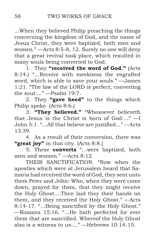...When they believed Philip preaching the things concerning the kingdom of God, and the name of Jesus Christ, they were baptized, both men and women." —Acts 8:5-8, 12. Surely no one will deny that a great revival took place, which resulted in many souls being converted to God.

1. They **"received the word of God."** (Acts 8:14.) "...Receive with meekness the engrafted word, which is able to save your souls." —James 1:21. "The law of the LORD is perfect, converting the soul:..." —Psalm 19:7.

2. They **"gave heed"** to the things which Philip spoke. (Acts 8:6.)

3. **"They believed."** "Whosoever believeth that Jesus is the Christ is born of God:..." —I John 5:1. "...All that believe are justified..." —Acts 13:39.

4. As a result of their conversion, there was **"great joy"** in that city. (Acts 8:8.)

5. These **converts** "…were baptized, both men and women." —Acts 8:12.

THEIR SANCTIFICATION. "Now when the apostles which were at Jerusalem heard that Samaria had received the word of God, they sent unto them Peter and John: Who, when they were come down, prayed for them, that they might receive the Holy Ghost....Then laid they their hands on them, and they received the Holy Ghost." —Acts 8:14-17. "...Being sanctified by the Holy Ghost." —Romans 15:16. "...He hath perfected for ever them that are sanctified. Whereof the Holy Ghost also is a witness to us:..." —Hebrews 10:14-15.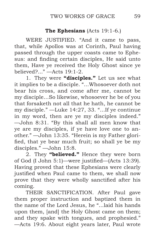# **The Ephesians** (Acts 19:1-6.)

WERE JUSTIFIED. "And it came to pass, that, while Apollos was at Corinth, Paul having passed through the upper coasts came to Ephesus: and finding certain disciples, He said unto them, Have ye received the Holy Ghost since ye believed?..." —Acts 19:1-2.

1. They were **"disciples."** Let us see what it implies to be a disciple. "...Whosoever doth not bear his cross, and come after me, cannot be my disciple…So likewise, whosoever he be of you that forsaketh not all that he hath, he cannot be my disciple." —Luke 14:27, 33. "...If ye continue in my word, then are ye my disciples indeed." —John 8:31. "By this shall all men know that ye are my disciples, if ye have love one to another." —John 13:35. "Herein is my Father glorified, that ye bear much fruit; so shall ye be my disciples." —John 15:8.

2. They **"believed."** Hence they were born of God (I John 5:1)—were justified—(Acts 13:39). Having proved that these Ephesians were clearly justified when Paul came to them, we shall now prove that they were wholly sanctified after his coming.

THEIR SANCTIFICATION. After Paul gave them proper instruction and baptized them in the name of the Lord Jesus, he "...laid his hands upon them, [and] the Holy Ghost came on them; and they spake with tongues, and prophesied." —Acts 19:6. About eight years later, Paul wrote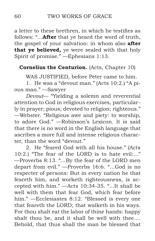a letter to these brethren, in which he testifies as follows: "...**After** that ye heard the word of truth, the gospel of your salvation: in whom also **after that ye believed,** ye were sealed with that holy Spirit of promise." —Ephesians 1:13.

## **Cornelius the Centurion.** (Acts, Chapter 10)

WAS JUSTIFIED, before Peter came to him.

1. He was a "devout man." (Acts 10:2.) "A pious man." —Sawyer

*Devout*— "Yielding a solemn and reverential attention to God in religious exercises, particularly in prayer; pious; devoted to religion; righteous." —Webster. "Religious awe and piety: to worship, to adore God." —Robinson's Lexicon. It is said that there is no word in the English language that ascribes a more full and intense religious character, than the word "devout."

2. He "feared God with all his house." (Acts 10:2.) "The fear of the LORD is to hate evil:..." —Proverbs 8:13. "...By the fear of the LORD men depart from evil." —Proverbs 16:6. "...God is no respecter of persons: But in every nation he that feareth him, and worketh righteousness, is accepted with him." —Acts 10:34-35. "...It shall be well with them that fear God, which fear before him." —Ecclesiastes 8:12. "Blessed is every one that feareth the LORD; that walketh in his ways. For thou shalt eat the labor of thine hands: happy shalt thou be, and it shall be well with thee.... Behold, that thus shall the man be blessed that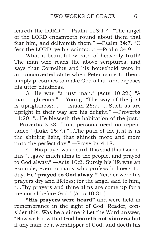feareth the LORD." —Psalm 128:1-4. "The angel of the LORD encampeth round about them that fear him, and delivereth them." —Psalm 34:7. "O fear the LORD, ye his saints:..." —Psalm 34:9.

What a beautiful wreath of heavenly truth! The man who reads the above scriptures, and says that Cornelius and his household were in an unconverted state when Peter came to them, simply presumes to make God a liar, and exposes his utter blindness.

3. He was "a just man." (Acts 10:22.) "A man, righteous." —Young. "The way of the just is uprightness:..." —Isaiah 26:7. "...Such as are upright in their way are his delight." —Proverbs 11:20. "...He blesseth the habitation of the just." —Proverbs 3:33. "Just persons need no repentance." (Luke 15:7.) "...The path of the just is as the shining light, that shineth more and more unto the perfect day." —Proverbs 4:18.

4. His prayer was heard. It is said that Cornelius "...gave much alms to the people, and prayed to God alway." —Acts 10:2. Surely his life was an example, even to many who profess holiness today. He **"prayed to God alway."** Neither were his prayers dry and lifeless; for the angel said to him, "...Thy prayers and thine alms are come up for a memorial before God." (Acts 10:31.)

**"His prayers were heard"** and were held in remembrance in the sight of God. Reader, consider this. Was he a sinner? Let the Word answer, "Now we know that God **heareth not sinners:** but if any man be a worshipper of God, and doeth his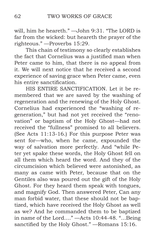will, him he heareth." —John 9:31. "The LORD is far from the wicked: but heareth the prayer of the righteous." —Proverbs 15:29.

This chain of testimony so clearly establishes the fact that Cornelius was a justified man when Peter came to him, that there is no appeal from it. We will next notice that he received a second experience of saving grace when Peter came, even his entire sanctification.

HIS ENTIRE SANCTIFICATION. Let it be remembered that we are saved by the washing of regeneration and the renewing of the Holy Ghost. Cornelius had experienced the "washing of regeneration," but had not yet received the "renovation" or baptism of the Holy Ghost—had not received the "fullness" promised to all believers. (See Acts 11:13-16.) For this purpose Peter was sent for—who, when he came, expounded the way of salvation more perfectly. And "while Peter yet spake these words, the Holy Ghost fell on all them which heard the word. And they of the circumcision which believed were astonished, as many as came with Peter, because that on the Gentiles also was poured out the gift of the Holy Ghost. For they heard them speak with tongues, and magnify God. Then answered Peter, Can any man forbid water, that these should not be baptized, which have received the Holy Ghost as well as we? And he commanded them to be baptized in name of the Lord...." —Acts 10:44-48. "...Being sanctified by the Holy Ghost." —Romans 15:16.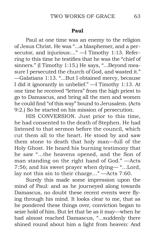#### **Paul**

Paul at one time was an enemy to the religion of Jesus Christ. He was "...a blasphemer, and a persecutor, and injurious:..." —I Timothy 1:13. Referring to this time he testifies that he was the "chief of sinners." (I Timothy 1:15.) He says, "...Beyond measure I persecuted the church of God, and wasted it." —Galatians 1:13. "...But I obtained mercy, because I did it ignorantly in unbelief." —I Timothy 1:13. At one time he received "letters" from the high priest to go to Damascus, and bring all the men and women he could find "of this way" bound to Jerusalem. (Acts 9:2.) So he started on his mission of persecution.

HIS CONVERSION. Just prior to this time, he had consented to the death of Stephen. He had listened to that sermon before the council, which cut them all to the heart. He stood by and saw them stone to death that holy man—full of the Holy Ghost. He heard his burning testimony that he saw "…the heavens opened, and the Son of man standing on the right hand of God." —Acts 7:56; and his sweet prayer when dying— "…Lord, lay not this sin to their charge…" —Acts 7:60.

Surely this made some impression upon the mind of Paul: and as he journeyed along towards Damascus, no doubt these recent events were flying through his mind. It looks clear to me, that as he pondered these things over, conviction began to seize hold of him. But let that be as it may—when he had almost reached Damascus, "...suddenly there shined round about him a light from heaven: And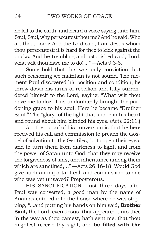he fell to the earth, and heard a voice saying unto him, Saul, Saul, why persecutest thou me? And he said, Who art thou, Lord? And the Lord said, I am Jesus whom thou persecutest: it is hard for thee to kick against the pricks. And he trembling and astonished said, Lord, what wilt thou have me to do?..." —Acts 9:3-6.

Some hold that this was only conviction; but such reasoning we maintain is not sound. The moment Paul discovered his position and condition, he threw down his arms of rebellion and fully surrendered himself to the Lord, saying, "What wilt thou have me to do?" This undoubtedly brought the pardoning grace to his soul. Here he became "Brother Saul." The "glory" of the light that shone in his heart and round about him blinded his eyes. (Acts 22:11.)

Another proof of his conversion is that he here received his call and commission to preach the Gospel of salvation to the Gentiles, "…to open their eyes, and to turn them from darkness to light, and from the power of Satan unto God, that they may receive the forgiveness of sins, and inheritance among them which are sanctified,..." —Acts 26:16-18. Would God give such an important call and commission to one who was yet unsaved? Preposterous.

HIS SANCTIFICATION. Just three days after Paul was converted, a good man by the name of Ananias entered into the house where he was stopping, "...and putting his hands on him said, **Brother Saul,** the Lord, even Jesus, that appeared unto thee in the way as thou camest, hath sent me, that thou mightest receive thy sight, and **be filled with the**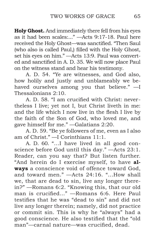**Holy Ghost.** And immediately there fell from his eyes as it had been scales:..." —Acts 9:17-18. Paul here received the Holy Ghost—was sanctified. "Then Saul (who also is called Paul,) filled with the Holy Ghost, set his eyes on him." —Acts 13:9. Paul was converted and sanctified in A. D. 35. We will now place Paul on the witness stand and hear his testimony.

A. D. 54. "Ye are witnesses, and God also, how holily and justly and unblameably we behaved ourselves among you that believe." —I Thessalonians 2:10.

A. D. 58. "I am crucified with Christ: nevertheless I live; yet not I, but Christ liveth in me: and the life which I now live in the flesh I live by the faith of the Son of God, who loved me, and gave himself for me." —Galatians 2:20.

A. D. 59. "Be ye followers of me, even as I also am of Christ." —I Corinthians 11:1.

A. D. 60. "...I have lived in all good conscience before God until this day." —Acts 23:1. Reader, can you say that? But listen further. "And herein do I exercise myself, to have **always** a conscience void of offence toward God, and toward men." —Acts 24:16. "...How shall we, that are dead to sin, live any longer therein?" —Romans 6:2. "Knowing this, that our old man is crucified..." —Romans 6:6. Here Paul testifies that he was "dead to sin" and did not live any longer therein; namely, did not practice or commit sin. This is why he "always" had a good conscience. He also testified that the "old man"—carnal nature—was crucified, dead.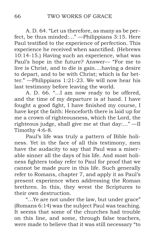A. D. 64. "Let us therefore, as many as be perfect, be thus minded:..." —Philippians 3:15. Here Paul testified to the experience of perfection. This experience he received when sanctified. (Hebrews 10:14-15.) Having such an experience, what was Paul's hope in the future? Answer— "For me to live is Christ, and to die is gain....having a desire to depart, and to be with Christ; which is far better." —Philippians 1:21-23. We will now hear his last testimony before leaving the world.

A. D. 66. "...I am now ready to be offered, and the time of my departure is at hand. I have fought a good fight, I have finished my course, I have kept the faith: Henceforth there is laid up for me a crown of righteousness, which the Lord, the righteous judge, shall give me at that day:..." —II Timothy 4:6-8.

Paul's life was truly a pattern of Bible holiness. Yet in the face of all this testimony, men have the audacity to say that Paul was a miserable sinner all the days of his life. And most holiness fighters today refer to Paul for proof that we cannot be made pure in this life. Such generally refer to Romans, chapter 7, and apply it as Paul's present experience when addressing the Roman brethren. In this, they wrest the Scriptures to their own destruction.

"...Ye are not under the law, but under grace" (Romans 6:14) was the subject Paul was teaching. It seems that some of the churches had trouble on this line, and some, through false teachers, were made to believe that it was still necessary "to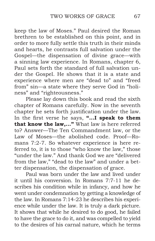keep the law of Moses." Paul desired the Roman brethren to be established on this point, and in order to more fully settle this truth in their minds and hearts, he contrasts full salvation under the Gospel—the dispensation of divine grace—with a sinning law experience. In Romans, chapter 6, Paul sets forth the standard of full salvation under the Gospel. He shows that it is a state and experience where men are "dead to" and "freed from" sin—a state where they serve God in "holiness" and "righteousness."

Please lay down this book and read the sixth chapter of Romans carefully. Now in the seventh chapter he sets forth justification under the law. In the first verse he says, **"...I speak to them that know the law,..."** What law is here referred to? Answer—The Ten Commandment law, or the Law of Moses—the abolished code. Proof—Romans 7:2-7. So whatever experience is here referred to, it is to those "who know the law," those "under the law." And thank God we are "delivered from the law," "dead to the law" and under a better dispensation, the dispensation of grace.

Paul was born under the law and lived under it until his conversion. In Romans 7:7-11 he describes his condition while in infancy, and how he went under condemnation by getting a knowledge of the law. In Romans 7:14-23 he describes his experience while under the law. It is truly a dark picture. It shows that while he desired to do good, he failed to have the grace to do it, and was compelled to yield to the desires of his carnal nature, which he terms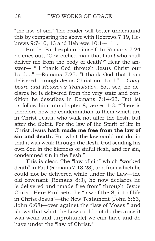"the law of sin." The reader will better understand this by comparing the above with Hebrews 7:19, Hebrews 9:7-10, 13 and Hebrews 10:1-4, 11.

But let Paul explain himself. In Romans 7:24 he cries out, "O wretched man that I am! who shall deliver me from the body of death?" Hear the answer— " I thank God through Jesus Christ our Lord...." —Romans 7:25. "I thank God that I am delivered through Jesus Christ our Lord." —*Conybeare and Howson's Translation*. You see, he declares he is delivered from the very state and condition he describes in Romans 7:14-23. But let us follow him into chapter 8, verses 1-3. "There is therefore now no condemnation to them which are in Christ Jesus, who walk not after the flesh, but after the Spirit. For the law of the Spirit of life in Christ Jesus **hath made me free from the law of sin and death.** For what the law could not do, in that it was weak through the flesh, God sending his own Son in the likeness of sinful flesh, and for sin, condemned sin in the flesh."

This is clear. The "law of sin" which "worked death" in Paul (Romans 7:13-23), and from which he could not be delivered while under the Law—the old covenant (Romans 8:3), he now declares he is delivered and "made free from" through Jesus Christ. Here Paul sets the "law of the Spirit of life in Christ Jesus"—the New Testament (John 6:63, John 6:68)—over against the "law of Moses," and shows that what the Law could not do (because it was weak and unprofitable) we can have and do have under the "law of Christ."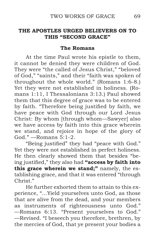## **THE APOSTLES URGED BELIEVERS ON TO THIS "SECOND GRACE"**

#### **The Romans**

At the time Paul wrote his epistle to them, it cannot be denied they were children of God. They were "the called of Jesus Christ," "beloved of God," "saints," and their "faith was spoken of throughout the whole world." (Romans 1:6-8.) Yet they were not established in holiness. (Romans 1:11, I Thessalonians 3:13.) Paul showed them that this degree of grace was to be entered by faith. "Therefore being justified by faith, we have peace with God through our Lord Jesus Christ: By whom [through whom—Sawyer] also we have access by faith into this grace wherein we stand, and rejoice in hope of the glory of God." —Romans 5:1-2.

"Being justified" they had "peace with God." Yet they were not established in perfect holiness. He then clearly showed them that besides "being justified," they also had **"access by faith into this grace wherein we stand;"** namely, the establishing grace, and that it was entered "through Christ<sup>"</sup>

He further exhorted them to attain to this experience, "...Yield yourselves unto God, as those that are alive from the dead, and your members as instruments of righteousness unto God." —Romans 6:13. "Present yourselves to God." —Revised. "I beseech you therefore, brethren, by the mercies of God, that ye present your bodies a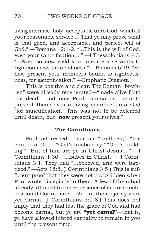living sacrifice, holy, acceptable unto God, which is your reasonable service.... That ye may prove what is that good, and acceptable, and perfect will of God." —Romans 12:1-2. "...This is the will of God, even your sanctification,..." —I Thessalonians 4:3. "...Even so now yield your members servants to righteousness unto holiness." —Romans 6:19. "So now present your members bound to righteousness, for sanctification." —Emphatic Diaglott.

This is positive and clear. The Roman "brethren" were already regenerated—"made alive from the dead"—and now Paul commands them to present themselves a living sacrifice unto God "for sanctification." This was not to be deferred until death, but "**now** present yourselves."

### **The Corinthians**

Paul addressed them as "brethren," "the church of God," "God's husbandry," "God's building." "But of him are ye in Christ Jesus,..." —I Corinthians 1:30. "...Babes in Christ." —I Corinthians 3:1. They had "...believed, and were baptized." —Acts 18:8. (I Corinthians 3:5.) This is sufficient proof that they were not backslidden when Paul wrote his epistle to them. A few of them had already attained to the experience of entire sanctification (I Corinthians 1:2), but the majority were yet carnal. (I Corinthians 3:1-3.) This does not imply that they had lost the grace of God and had become carnal, but ye are **"yet carnal"**—that is, ye have allowed inbred carnality to remain in you until the present time.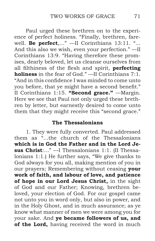Paul urged these brethren on to the experience of perfect holiness. "Finally, brethren, farewell. **Be perfect**,..." —II Corinthians 13:11. "... And this also we wish, even your perfection." —II Corinthians 13:9. "Having therefore these promises, dearly beloved, let us cleanse ourselves from all filthiness of the flesh and spirit, **perfecting holiness** in the fear of God." —II Corinthians 7:1. "And in this confidence I was minded to come unto you before, that ye might have a second benefit." II Corinthians 1:15. **"Second grace."** —Margin. Here we see that Paul not only urged these brethren by letter, but earnestly desired to come unto them that they might receive this "second grace."

## **The Thessalonians**

1.They were fully converted. Paul addressed them as "...the church of the Thessalonians **which is in God the Father and in the Lord Jesus Christ**:..." —I Thessalonians 1:1. (II Thessalonians 1:1.) He further says, "We give thanks to God always for you all, making mention of you in our prayers; Remembering without ceasing **your work of faith, and labour of love, and patience of hope in our Lord Jesus Christ,** in the sight of God and our Father; Knowing, brethren beloved, your election of God. For our gospel came not unto you in word only, but also in power, and in the Holy Ghost, and in much assurance; as ye know what manner of men we were among you for your sake. And **ye became followers of us, and of the Lord,** having received the word in much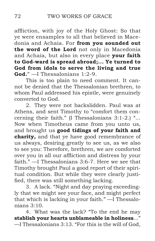affliction, with joy of the Holy Ghost: So that ye were ensamples to all that believed in Macedonia and Achaia. For **from you sounded out the word of the Lord** not only in Macedonia and Achaia, but also in every place **your faith to God-ward is spread abroad;... Ye turned to God from idols to serve the living and true God.**" —I Thessalonians 1:2-9.

This is too plain to need comment. It cannot be denied that the Thessalonian brethren, to whom Paul addressed his epistle, were genuinely converted to God.

2. They were not backslidden. Paul was at Athens, and sent Timothy to "comfort them concerning their faith." (I Thessalonians 3:1-2.) "... Now when Timotheus came from you unto us, and brought us **good tidings of your faith and charity,** and that ye have good remembrance of us always, desiring greatly to see us, as we also to see you: Therefore, brethren, we are comforted over you in all our affliction and distress by your faith." —I Thessalonians 3:6-7. Here we see that Timothy brought Paul a good report of their spiritual condition. But while they were clearly justified, there was still something lacking.

3. A lack. "Night and day praying exceedingly that we might see your face, and might perfect that which is lacking in your faith." —I Thessalonians 3:10.

4. What was the lack? "To the end he may **stablish your hearts unblameable in holiness**..." —I Thessalonians 3:13. "For this is the will of God,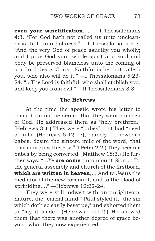**even your sanctification**,..." —I Thessalonians 4:3. "For God hath not called us unto uncleanness, but unto holiness." —I Thessalonians 4:7. "And the very God of peace sanctify you wholly; and I pray God your whole spirit and soul and body be preserved blameless unto the coming of our Lord Jesus Christ. Faithful is he that calleth you, who also will do it." —I Thessalonians 5:23- 24. "...The Lord is faithful, who shall stablish you, and keep you from evil." —II Thessalonians 3:3.

## **The Hebrews**

At the time the apostle wrote his letter to them it cannot be denied that they were children of God. He addressed them as "holy brethren." (Hebrews 3:1.) They were "babes" that had "need of milk" (Hebrews 5:12-13); namely, "…newborn babes, desire the sincere milk of the word, that they may grow thereby." (I Peter 2:2.) They became babes by being converted. (Matthew 18:3.) He further says: "...Ye **are come** unto mount Sion,... To the general assembly and church of the firstborn, **which are written in heaven**,... And to Jesus the mediator of the new covenant, and to the blood of sprinkling,..." —Hebrews 12:22-24.

They were still indwelt with an unrighteous nature, the "carnal mind." Paul styled it, "the sin which doth so easily beset us," and exhorted them to "lay it aside." (Hebrews 12:1-2.) He showed them that there was another degree of grace beyond what they now experienced.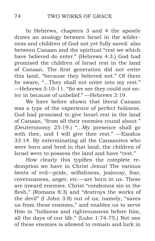In Hebrews, chapters 3 and 4 the apostle draws an analogy between Israel in the wilderness and children of God not yet fully saved: also between Canaan and the spiritual "rest we which have believed do enter." (Hebrews 4:3.) God had promised the children of Israel rest in the land of Canaan. The first generation did not enter this land, "because they believed not." Of them he sware, "...They shall not enter into my rest." —Hebrews 3:10-11. "So we see they could not enter in because of unbelief." —Hebrews 3:19.

We have before shown that literal Canaan was a type of the experience of perfect holiness. God had promised to give Israel rest in the land of Canaan, "from all their enemies round about." (Deuteronomy 25:19.) "...My presence shall go with thee, and I will give thee rest." —Exodus 33:14. By exterminating all the Canaanites who were born and bred in that land, the children of Israel were to possess the land and have "rest."

How clearly this typifies the complete redemption we have in Christ Jesus! The various bents of evil—pride, selfishness, jealousy, fear, covetousness, anger, etc.—are born in us. These are inward enemies. Christ "condemns sin in the flesh," (Romans 8:3) and "destroys the works of the devil" (I John 3:8) out of us; namely, "saves us from these enemies," and enables us to serve Him in "holiness and righteousness before him, all the days of our life." (Luke 1:74-75.) Not one of these enemies is allowed to remain and lurk in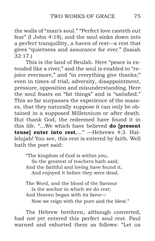the walls of "man's soul." "Perfect love casteth out fear" (I John 4:18), and the soul sinks down into a perfect tranquillity, a haven of rest—a rest that gives "quietness and assurance for ever." (Isaiah 32:17.)

This is the land of Beulah. Here "peace is extended like a river," and the soul is enabled to "rejoice evermore," and "in everything give thanks;" even in times of trial, adversity, disappointment, pressure, opposition and misunderstanding. Here the soul feasts on "fat things" and is "satisfied." This so far surpasses the experience of the masses, that they naturally suppose it can only be obtained in a supposed Millennium or after death. But thank God, the redeemed have found it in this life. "...We which have believed **do [present tense] enter into rest**,..." —Hebrews 4:3. Hallelujah! You see, this rest is entered by faith. Well hath the poet said:

"The kingdom of God is within you, So the greatest of teachers hath said; And the faithful and loving have found it, And enjoyed it before they were dead.

The Word, and the blood of the Saviour Is the anchor in which we do rest; And Heaven began with its favor— Now we reign with the pure and the blest."

The Hebrew brethren, although converted, had not yet entered this perfect soul rest. Paul warned and exhorted them as follows: "Let us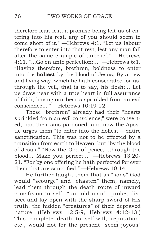therefore fear, lest, a promise being left us of entering into his rest, any of you should seem to come short of it." —Hebrews 4:1. "Let us labour therefore to enter into that rest, lest any man fall after the same example of unbelief." —Hebrews 4:11. "...Go on unto perfection;..." —Hebrews 6:1. "Having therefore, brethren, boldness to enter into the **holiest** by the blood of Jesus, By a new and living way, which he hath consecrated for us, through the veil, that is to say, his flesh;... Let us draw near with a true heart in full assurance of faith, having our hearts sprinkled from an evil conscience,..." —Hebrews 10:19-22.

These "brethren" already had their "hearts sprinkled from an evil conscience;" were converted, had their sins pardoned: and now the Apostle urges them "to enter into the holiest"—entire sanctification. This was not to be effected by a transition from earth to Heaven, but "by the blood of Jesus." "Now the God of peace,...through the blood... Make you perfect..." —Hebrews 13:20- 21. "For by one offering he hath perfected for ever them that are sanctified." —Hebrews 10:14.

He further taught them that as "sons" God would "scourge" and "chasten" them; namely, lead them through the death route of inward crucifixion to self—"our old man"—probe, dissect and lay open with the sharp sword of His truth, the hidden "creatures" of their depraved nature. (Hebrews 12:5-9, Hebrews 4:12-13.) This complete death to self-will, reputation, etc., would not for the present "seem joyous"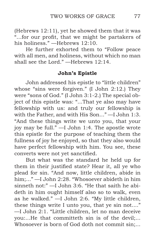(Hebrews 12:11), yet he showed them that it was "...for our profit, that we might be partakers of his holiness." —Hebrews 12:10.

He further exhorted them to "Follow peace with all men, and holiness, without which no man shall see the Lord." —Hebrews 12:14.

## **John's Epistle**

John addressed his epistle to "little children" whose "sins were forgiven." (I John 2:12.) They were "sons of God." (I John 3:1-2.) The special object of this epistle was: "...That ye also may have fellowship with us: and truly our fellowship is with the Father, and with His Son..." —I John 1:3. "And these things write we unto you, that your joy may be full." —I John 1:4. The apostle wrote this epistle for the purpose of teaching them the fullness of joy he enjoyed, so that they also would have perfect fellowship with him. You see, these converts were not yet sanctified.

But what was the standard he held up for them in their justified state? Hear it, all ye who plead for sin. "And now, little children, abide in him;..." —I John 2:28. "Whosoever abideth in him sinneth not:" —I John 3:6. "He that saith he abideth in him ought himself also so to walk, even as he walked." —I John 2:6. "My little children, these things write I unto you, that ye sin not...." —I John 2:1. "Little children, let no man deceive you:...He that committeth sin is of the devil;... Whosoever is born of God doth not commit sin;...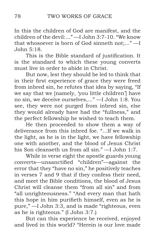In this the children of God are manifest, and the children of the devil:..." —I John 3:7-10. "We know that whosoever is born of God sinneth not;..." —I John 5:18.

This is the Bible standard of justification. It is the standard to which these young converts must live in order to abide in Christ.

But now, lest they should be led to think that in their first experience of grace they were freed from inbred sin, he refutes that idea by saying, "If we say that we [namely, 'you little children'] have no sin, we deceive ourselves,..." —I John 1:8. You see, they were not purged from inbred sin, else they would already have had the "fullness," and the perfect fellowship he wished to teach them.

He then proceeded to show them a way of deliverance from this inbred foe. "...If we walk in the light, as he is in the light, we have fellowship one with another, and the blood of Jesus Christ his Son cleanseth us from all sin." —I John 1:7.

While in verse eight the apostle guards young converts—unsanctified "children"—against the error that they "have no sin," he positively teaches in verses 7 and 9 that if they confess their need, and meet the Bible conditions, the blood of Jesus Christ will cleanse them "from all sin" and from "all unrighteousness." "And every man that hath this hope in him purifieth himself, even as he is pure," —I John 3:3, and is made "righteous, even as he is righteous." (I John 3:7.)

But can this experience be received, enjoyed and lived in this world? "Herein is our love made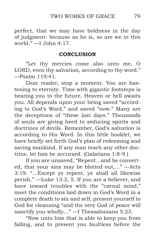perfect, that we may have boldness in the day of judgment: because as he is, so are we in this world." —I John 4:17.

## **CONCLUSION**

"Let thy mercies come also unto me, O LORD, even thy salvation, according to thy word." —Psalm 119:41.

Dear reader, stop a moment. You are hastening to eternity. Time with gigantic footsteps is bearing you to the future. Heaven or hell awaits you. All depends upon your being saved "according to God's Word," and saved "now." Many are the deceptions of "these last days." Thousands of souls are giving heed to seducing spirits and doctrines of devils. Remember, God's salvation is according to His Word. In this little booklet, we have briefly set forth God's plan of redeeming and saving mankind. If any man teach any other doctrine, let him be accursed. (Galatians 1:8-9.)

If you are unsaved, "Repent...and be converted, that your sins may be blotted out,..." —Acts 3:19. "...Except ye repent, ye shall all likewise perish." —Luke 13:3, 5. If you are a believer, and have inward troubles with the "carnal mind," meet the conditions laid down in God's Word in a complete death to sin and self, present yourself to God for cleansing "and the very God of peace will sanctify you wholly..." - I Thessalonians 5:23.

"Now unto him that is able to keep you from falling, and to present you faultless before the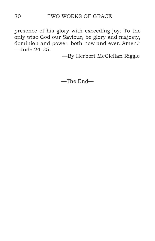presence of his glory with exceeding joy, To the only wise God our Saviour, be glory and majesty, dominion and power, both now and ever. Amen." —Jude 24-25.

—By Herbert McClellan Riggle

—The End—